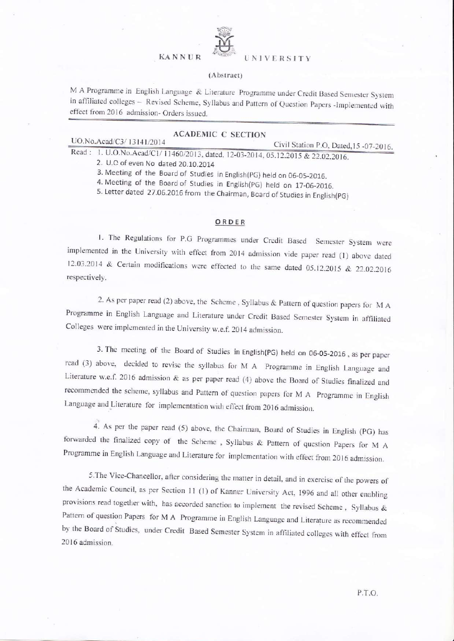#### KANNUR <sup>PULSE</sup> UNIVERSITY



#### (Abstract)

M A Programme in English Language & Literature Programme under Credit Based Semester System in affiliated colleges - Revised Scheme, Syllabus and Pattern of Question Papers -Implemented with effect from 2016 admission- Orders issued.

| <b>ACADEMIC C SECTION</b>                                                       |                                        |
|---------------------------------------------------------------------------------|----------------------------------------|
| UO.No.Acad/C3/13141/2014                                                        | Civil Station P.O. Dated 15 - 07-2016. |
| Read: 1. U.O.No.Acad/C1/11460/2013. dated. 12-03-2014. 05.12.2015 & 22.02.2016. |                                        |

2. U.C of even No dated 20.10.2014

3. Meeting of the Board of Studies in English(PG) held on 06-05-2016.

4. Meeting of the Board of Studies in English(pG) held on 17\_06\_2016.

5. Letter dated 27.06.2016 from the Chairman, Board of Studies in English(PG)

#### ORDER

1. The Regulations for P.G Programmes under Credit Based Semester System were implemented in the University with effect from 2014 admission vide paper read (1) above dated 12.03.2014 & Certain modifications were effected to the same dated 05.12.2015 & 22.02.2016 respectively.

2. As per paper read (2) above, the Scheme, Syllabus & Pattern of question papers for  $MA$ Programme in English Language and Literature under Credit Based Semester System in affiliated Colleges were implemented in the University w.e.f. 2014 admission.

3. The meeting of the Board of Studies in English(PG) held on 06-05-2016, as per paper read (3) above, decided to revise the syllabus for M A Programme in English Language and Literature w.e.f. 2016 admission  $\&$  as per paper read (4) above the Board of Studies finalized and recommended the scheme, syllabus and Pattern of question papers for M A Programme in English Language and Literature for implementation with effect from 2016 admission.

4. As per the paper read (5) above, the Chairman, Board of Studies in English (pG) has forwarded the finalized copy of the Scheme , Syllabus & paftem of question papers for M <sup>A</sup> Programme in English Language and Literature for implementation with effect from 2016 admission.

5. The Vice-Chancellor, after considering the matter in detail, and in exercise of the powers of the Academic Council, as per Section 11 (1) of Kannu: University Act, 1996 and all other enabling provisions read together with. has accorded sanction to implement the revised Scheme, Syllabus & Pattern of question Papers for M A Programme in English Language and Literature as recommended by the Board of Studies, under Credit Based Semester System in affiliated colleges with effect from 2016 admission.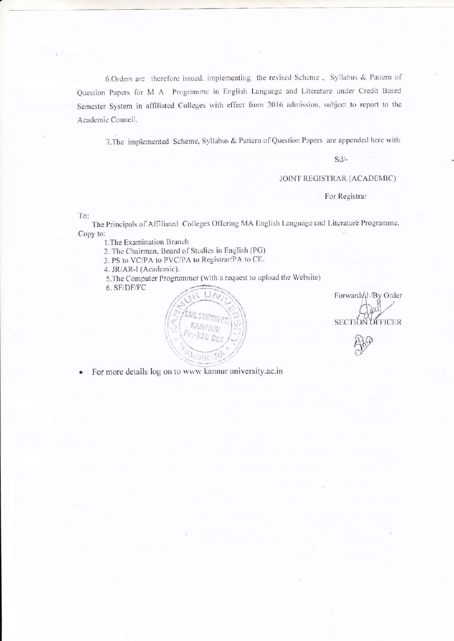6.Orders are therefore issued, implementing the revised Scheme , Syllabus & Pattem of Question Papers for M A Programme in English Language and Literature under Credit Based Semester System in affiliated Colleges with effect from 2016 admission, subject to report to the Academic Council.

7. The implemented Scheme, Syllabus & Pattern of Question Papers are appended here with.

sd/-

#### JOINT REGISTRAR (ACADEMIC)

For Registrar

To:

The Principals of Affiliated Colleges Offering MA English Language and Literature Programme. Copy to:

l.The Examination Branch

2. The Chairman, Board of Studies in English (PG)

3. PS to VC/PA to PVC/PA to Registrar/PA to CE.

4. JR/AR-I (Academic)-

5. The Computer Programmer (with a request to upload the Website) 6. SF/DF/FC

Forwardell / By Order<br>SECTION OFFICER

o For more details log on to wwu' kannur university.ac.in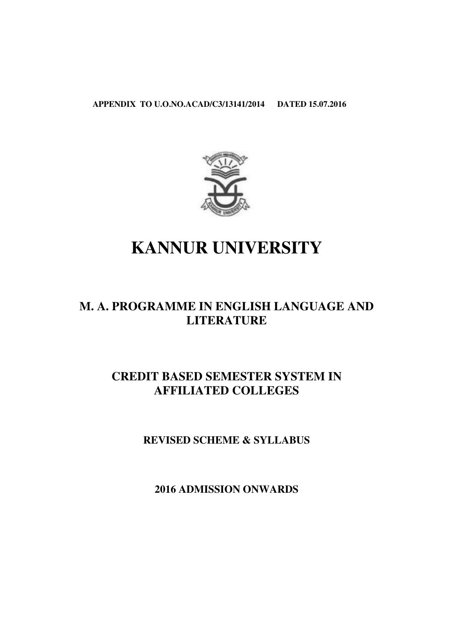**APPENDIX TO U.O.NO. U.O.NO.ACAD/C3/13141/2014 DATED 15.07.2016**



# **KANNUR UNIVERSITY**

# **M. A. PROGRAMME IN ENGLISH LANGUAGE AND LITERATURE**  DIX TO U.O.NO.ACAD/C3/13141/2014 DATED 15.07.2016

## **CREDIT BASED SEMESTER SYSTEM AFFILIATED COLLEGES**

**REVISED SCHEME & SYLLABUS** 

**2016 ADMISSION ONWARDS**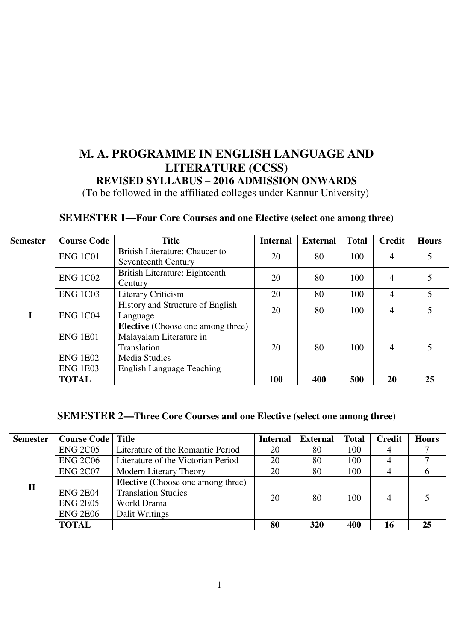## **M. A. PROGRAMME IN ENGLISH LANGUAGE AND LITERATURE (CCSS) REVISED SYLLABUS – 2016 ADMISSION ONWARDS**  (To be followed in the affiliated colleges under Kannur University)

## **SEMESTER 1—Four Core Courses and one Elective (select one among three)**

| <b>Semester</b> | <b>Course Code</b>                                                                                                                                                                                           | <b>Title</b>                                          | <b>Internal</b> | <b>External</b> | <b>Total</b> | <b>Credit</b>  | <b>Hours</b> |
|-----------------|--------------------------------------------------------------------------------------------------------------------------------------------------------------------------------------------------------------|-------------------------------------------------------|-----------------|-----------------|--------------|----------------|--------------|
|                 | <b>ENG 1C01</b>                                                                                                                                                                                              | British Literature: Chaucer to<br>Seventeenth Century | 20              | 80              | 100          | 4              |              |
|                 | <b>ENG 1C02</b>                                                                                                                                                                                              | 20                                                    | 80              | 100             | 4            |                |              |
|                 | <b>ENG 1C03</b>                                                                                                                                                                                              | Literary Criticism                                    | 20              | 80              | 100          | 4              | 5            |
| I               | History and Structure of English<br><b>ENG 1C04</b><br>Language<br><b>Elective</b> (Choose one among three)<br>Malayalam Literature in<br>ENG 1E01<br>Translation<br><b>ENG 1E02</b><br><b>Media Studies</b> |                                                       | 20              | 80              | 100          | 4              |              |
|                 |                                                                                                                                                                                                              |                                                       | 20              | 80              | 100          | $\overline{4}$ |              |
|                 | <b>ENG 1E03</b><br><b>TOTAL</b>                                                                                                                                                                              | <b>English Language Teaching</b>                      | <b>100</b>      | 400             | 500          | 20             | 25           |

#### **SEMESTER 2—Three Core Courses and one Elective (select one among three)**

| <b>Semester</b> | <b>Course Code</b>                | <b>Title</b>                             | <b>Internal</b> | <b>External</b> | <b>Total</b> | <b>Credit</b> | <b>Hours</b> |
|-----------------|-----------------------------------|------------------------------------------|-----------------|-----------------|--------------|---------------|--------------|
|                 | <b>ENG 2C05</b>                   | Literature of the Romantic Period        | 80              | 100             |              |               |              |
|                 | <b>ENG 2C06</b>                   | Literature of the Victorian Period       | 20              | 80              | 100          | 4             |              |
|                 | <b>ENG 2C07</b>                   | Modern Literary Theory                   | 20              | 80              | 100          | 4             |              |
| $\mathbf{I}$    |                                   | <b>Elective</b> (Choose one among three) |                 |                 |              |               |              |
|                 | <b>ENG 2E04</b>                   | <b>Translation Studies</b>               | 20              | 80              | 100          |               |              |
|                 | <b>ENG 2E05</b>                   | World Drama                              |                 |                 |              |               |              |
|                 | <b>ENG 2E06</b><br>Dalit Writings |                                          |                 |                 |              |               |              |
|                 | <b>TOTAL</b>                      |                                          | 80              | 320             | 400          | 16            | 25           |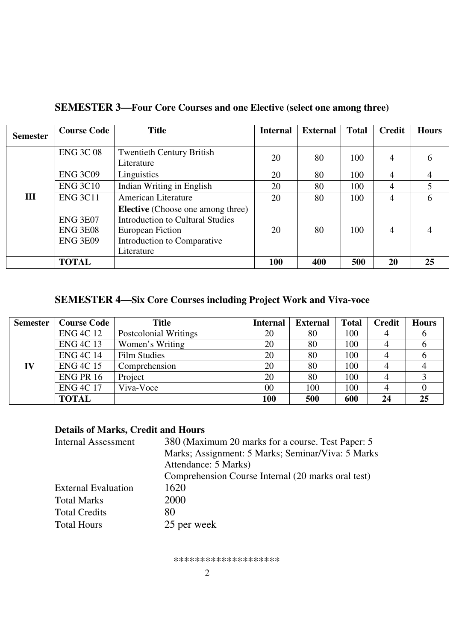| <b>Semester</b> | <b>Course Code</b>                                                                                                                                                                                                                                      | <b>Title</b>                                   | <b>Internal</b> | <b>External</b> | <b>Total</b> | Credit    | <b>Hours</b> |
|-----------------|---------------------------------------------------------------------------------------------------------------------------------------------------------------------------------------------------------------------------------------------------------|------------------------------------------------|-----------------|-----------------|--------------|-----------|--------------|
|                 | <b>ENG 3C 08</b>                                                                                                                                                                                                                                        | <b>Twentieth Century British</b><br>Literature | 20              | 80              | 100          | 4         |              |
|                 | <b>ENG 3C09</b>                                                                                                                                                                                                                                         | Linguistics                                    | 20              | 80              | 100          | 4         | 4            |
|                 | <b>ENG 3C10</b>                                                                                                                                                                                                                                         | Indian Writing in English                      | 20              | 80              | 100          | 4         |              |
| Ш               | <b>ENG 3C11</b><br>American Literature<br><b>Elective</b> (Choose one among three)<br><b>Introduction to Cultural Studies</b><br><b>ENG 3E07</b><br><b>ENG 3E08</b><br>European Fiction<br>Introduction to Comparative<br><b>ENG 3E09</b><br>Literature |                                                | 20              | 80              | 100          | 4         | 6            |
|                 |                                                                                                                                                                                                                                                         |                                                | 20              | 80              | 100          | 4         |              |
|                 | <b>TOTAL</b>                                                                                                                                                                                                                                            |                                                | 100             | 400             | 500          | <b>20</b> | 25           |

### **SEMESTER 3—Four Core Courses and one Elective (select one among three)**

## **SEMESTER 4—Six Core Courses including Project Work and Viva-voce**

| <b>Semester</b> | <b>Course Code</b> | <b>Title</b>          | <b>Internal</b> | <b>External</b> | <b>Total</b> | <b>Credit</b> | <b>Hours</b> |
|-----------------|--------------------|-----------------------|-----------------|-----------------|--------------|---------------|--------------|
|                 | <b>ENG 4C 12</b>   | Postcolonial Writings | 20              | 80              | 100          |               | O            |
|                 | <b>ENG 4C 13</b>   | Women's Writing       | 20              | 80              | 100          |               |              |
|                 | <b>ENG 4C 14</b>   | <b>Film Studies</b>   | 20              | 80              | 100          |               | O            |
| IV              | <b>ENG 4C 15</b>   | Comprehension         | 20              | 80              | 100          |               |              |
|                 | ENG PR 16          | Project               | 20              | 80              | 100          |               |              |
|                 | <b>ENG 4C 17</b>   | Viva-Voce             | 00              | 100             | 100          |               |              |
|                 | <b>TOTAL</b>       |                       | 100             | 500             | 600          | 24            | 25           |

#### **Details of Marks, Credit and Hours**

| 380 (Maximum 20 marks for a course. Test Paper: 5  |
|----------------------------------------------------|
| Marks; Assignment: 5 Marks; Seminar/Viva: 5 Marks  |
| Attendance: 5 Marks)                               |
| Comprehension Course Internal (20 marks oral test) |
| 1620                                               |
| 2000                                               |
| 80                                                 |
| 25 per week                                        |
|                                                    |

\*\*\*\*\*\*\*\*\*\*\*\*\*\*\*\*\*\*\*\*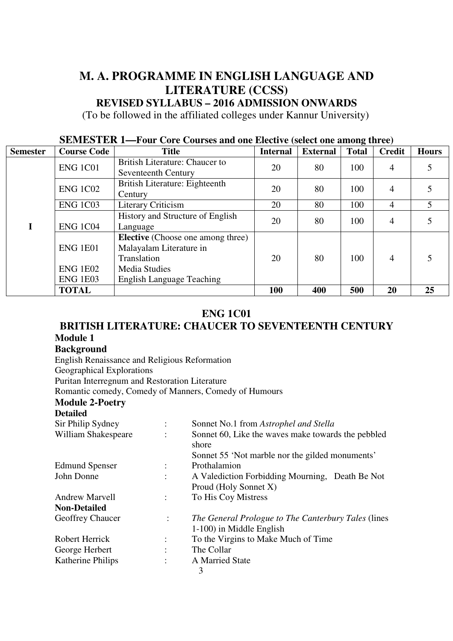## **M. A. PROGRAMME IN ENGLISH LANGUAGE AND LITERATURE (CCSS)**

**REVISED SYLLABUS – 2016 ADMISSION ONWARDS** 

(To be followed in the affiliated colleges under Kannur University)

| $\overline{\text{S}}$ such that $\overline{\text{S}}$ and $\overline{\text{S}}$ and the electric (select one among three) |                                    |                                                                                    |                 |                 |              |                |              |
|---------------------------------------------------------------------------------------------------------------------------|------------------------------------|------------------------------------------------------------------------------------|-----------------|-----------------|--------------|----------------|--------------|
| <b>Semester</b>                                                                                                           | <b>Course Code</b>                 | <b>Title</b>                                                                       | <b>Internal</b> | <b>External</b> | <b>Total</b> | <b>Credit</b>  | <b>Hours</b> |
|                                                                                                                           | <b>ENG 1C01</b>                    | British Literature: Chaucer to<br>Seventeenth Century                              | 20              | 80              | 100          | 4              |              |
|                                                                                                                           | <b>ENG 1C02</b>                    | British Literature: Eighteenth<br>Century                                          | 20              | 80              | 100          | 4              |              |
|                                                                                                                           | <b>ENG 1C03</b>                    | <b>Literary Criticism</b>                                                          | 20              | 80              | 100          | $\overline{4}$ |              |
|                                                                                                                           | <b>ENG 1C04</b>                    | History and Structure of English<br>Language                                       | 20              | 80              | 100          | 4              |              |
|                                                                                                                           | <b>ENG 1E01</b>                    | <b>Elective</b> (Choose one among three)<br>Malayalam Literature in<br>Translation | 20              | 80              | 100          | $\overline{4}$ |              |
|                                                                                                                           | <b>ENG 1E02</b><br><b>ENG 1E03</b> | Media Studies<br><b>English Language Teaching</b>                                  |                 |                 |              |                |              |
|                                                                                                                           |                                    |                                                                                    |                 |                 |              |                |              |

#### **SEMESTER 1—Four Core Courses and one Elective (select one among three)**

#### **ENG 1C01**

**TOTAL**  $\begin{array}{|c|c|c|c|c|c|} \hline \end{array}$  100  $\begin{array}{|c|c|c|c|c|} \hline \end{array}$  400  $\begin{array}{|c|c|c|c|c|} \hline \end{array}$  500  $\begin{array}{|c|c|c|c|} \hline \end{array}$  25

#### **BRITISH LITERATURE: CHAUCER TO SEVENTEENTH CENTURY Module 1**

#### **Background**

English Renaissance and Religious Reformation Geographical Explorations Puritan Interregnum and Restoration Literature Romantic comedy, Comedy of Manners, Comedy of Humours **Module 2-Poetry Detailed** 

| Sir Philip Sydney        |                      | Sonnet No.1 from Astrophel and Stella               |
|--------------------------|----------------------|-----------------------------------------------------|
| William Shakespeare      |                      | Sonnet 60, Like the waves make towards the pebbled  |
|                          |                      | shore                                               |
|                          |                      | Sonnet 55 'Not marble nor the gilded monuments'     |
| <b>Edmund Spenser</b>    |                      | Prothalamion                                        |
| John Donne               |                      | A Valediction Forbidding Mourning, Death Be Not     |
|                          |                      | Proud (Holy Sonnet X)                               |
| Andrew Marvell           | $\ddot{\phantom{a}}$ | To His Coy Mistress                                 |
| <b>Non-Detailed</b>      |                      |                                                     |
| <b>Geoffrey Chaucer</b>  | $\ddot{\cdot}$       | The General Prologue to The Canterbury Tales (lines |
|                          |                      | 1-100) in Middle English                            |
| Robert Herrick           |                      | To the Virgins to Make Much of Time                 |
| George Herbert           |                      | The Collar                                          |
| <b>Katherine Philips</b> |                      | A Married State                                     |
|                          |                      | 3                                                   |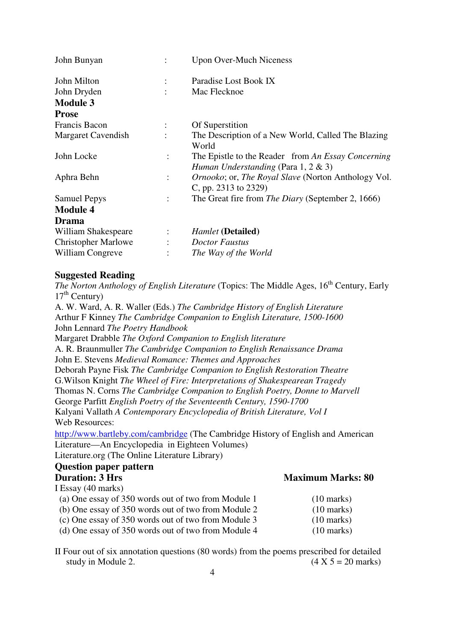| John Bunyan                |                      | <b>Upon Over-Much Niceness</b>                                                               |
|----------------------------|----------------------|----------------------------------------------------------------------------------------------|
| John Milton                |                      | Paradise Lost Book IX                                                                        |
| John Dryden                |                      | Mac Flecknoe                                                                                 |
| <b>Module 3</b>            |                      |                                                                                              |
| <b>Prose</b>               |                      |                                                                                              |
| Francis Bacon              |                      | Of Superstition                                                                              |
| Margaret Cavendish         | $\bullet$            | The Description of a New World, Called The Blazing<br>World                                  |
| John Locke                 | $\ddot{\cdot}$       | The Epistle to the Reader from An Essay Concerning<br>Human Understanding (Para 1, 2 $\&$ 3) |
| Aphra Behn                 | $\ddot{\cdot}$       | <i>Ornooko</i> ; or, <i>The Royal Slave</i> (Norton Anthology Vol.<br>C, pp. 2313 to 2329)   |
| <b>Samuel Pepys</b>        | $\ddot{\cdot}$       | The Great fire from <i>The Diary</i> (September 2, 1666)                                     |
| <b>Module 4</b>            |                      |                                                                                              |
| Drama                      |                      |                                                                                              |
| William Shakespeare        |                      | <b>Hamlet</b> (Detailed)                                                                     |
| <b>Christopher Marlowe</b> | $\ddot{\phantom{a}}$ | <b>Doctor Faustus</b>                                                                        |
| William Congreve           |                      | The Way of the World                                                                         |

#### **Suggested Reading**

*The Norton Anthology of English Literature* (Topics: The Middle Ages, 16<sup>th</sup> Century, Early  $17<sup>th</sup>$  Century)

A. W. Ward, A. R. Waller (Eds.) *The Cambridge History of English Literature*  Arthur F Kinney *The Cambridge Companion to English Literature, 1500-1600*  John Lennard *The Poetry Handbook*

Margaret Drabble *The Oxford Companion to English literature*

A. R. Braunmuller *The Cambridge Companion to English Renaissance Drama*  John E. Stevens *Medieval Romance: Themes and Approaches* 

Deborah Payne Fisk *The Cambridge Companion to English Restoration Theatre* G.Wilson Knight *The Wheel of Fire: Interpretations of Shakespearean Tragedy* Thomas N. Corns *The Cambridge Companion to English Poetry, Donne to Marvell* 

George Parfitt *English Poetry of the Seventeenth Century, 1590-1700*

Kalyani Vallath *A Contemporary Encyclopedia of British Literature, Vol I*  Web Resources:

http://www.bartleby.com/cambridge (The Cambridge History of English and American Literature—An Encyclopedia in Eighteen Volumes)

Literature.org (The Online Literature Library)

#### **Question paper pattern Duration: 3 Hrs** Maximum Marks: 80

| I Essay (40 marks)                                  |                      |
|-----------------------------------------------------|----------------------|
| (a) One essay of 350 words out of two from Module 1 | $(10 \text{ marks})$ |
| (b) One essay of 350 words out of two from Module 2 | $(10 \text{ marks})$ |
| (c) One essay of 350 words out of two from Module 3 | $(10 \text{ marks})$ |
| (d) One essay of 350 words out of two from Module 4 | $(10 \text{ marks})$ |

II Four out of six annotation questions (80 words) from the poems prescribed for detailed study in Module 2.  $(4 \times 5 = 20 \text{ marks})$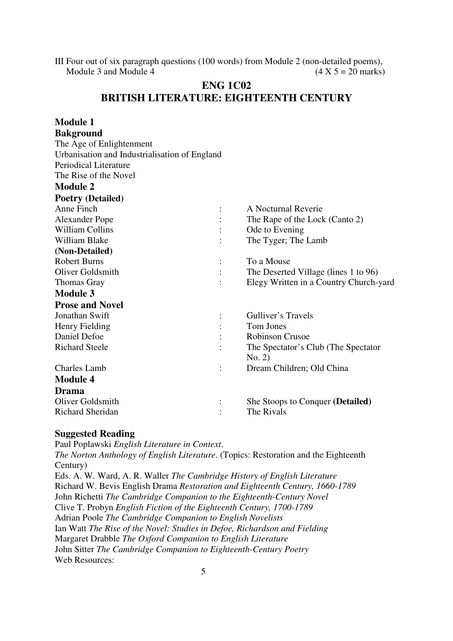III Four out of six paragraph questions (100 words) from Module 2 (non-detailed poems), Module 3 and Module 4 (4 X 5 = 20 marks)

#### **ENG 1C02 BRITISH LITERATURE: EIGHTEENTH CENTURY**

| <b>Module 1</b>                               |                |                                        |
|-----------------------------------------------|----------------|----------------------------------------|
| <b>Bakground</b>                              |                |                                        |
| The Age of Enlightenment                      |                |                                        |
| Urbanisation and Industrialisation of England |                |                                        |
| Periodical Literature                         |                |                                        |
| The Rise of the Novel                         |                |                                        |
| <b>Module 2</b>                               |                |                                        |
| <b>Poetry (Detailed)</b>                      |                |                                        |
| Anne Finch                                    |                | A Nocturnal Reverie                    |
| <b>Alexander Pope</b>                         |                | The Rape of the Lock (Canto 2)         |
| <b>William Collins</b>                        |                | Ode to Evening                         |
| <b>William Blake</b>                          |                | The Tyger; The Lamb                    |
| (Non-Detailed)                                |                |                                        |
| <b>Robert Burns</b>                           |                | To a Mouse                             |
| <b>Oliver Goldsmith</b>                       |                | The Deserted Village (lines 1 to 96)   |
| <b>Thomas Gray</b>                            |                | Elegy Written in a Country Church-yard |
| <b>Module 3</b>                               |                |                                        |
| <b>Prose and Novel</b>                        |                |                                        |
| <b>Jonathan Swift</b>                         |                | Gulliver's Travels                     |
| Henry Fielding                                |                | Tom Jones                              |
| Daniel Defoe                                  |                | <b>Robinson Crusoe</b>                 |
| <b>Richard Steele</b>                         |                | The Spectator's Club (The Spectator)   |
|                                               |                | No. 2)                                 |
| <b>Charles Lamb</b>                           | $\ddot{\cdot}$ | Dream Children; Old China              |
| <b>Module 4</b>                               |                |                                        |
| <b>Drama</b>                                  |                |                                        |
| Oliver Goldsmith                              |                | She Stoops to Conquer (Detailed)       |
| <b>Richard Sheridan</b>                       |                | The Rivals                             |

#### **Suggested Reading**

Paul Poplawski *English Literature in Context*. *The Norton Anthology of English Literature*. (Topics: Restoration and the Eighteenth Century)

Eds. A. W. Ward, A. R. Waller *The Cambridge History of English Literature*  Richard W. Bevis English Drama *Restoration and Eighteenth Century, 1660-1789* John Richetti *The Cambridge Companion to the Eighteenth-Century Novel*  Clive T. Probyn *English Fiction of the Eighteenth Century, 1700-1789* Adrian Poole *The Cambridge Companion to English Novelists*  Ian Watt *The Rise of the Novel: Studies in Defoe, Richardson and Fielding*  Margaret Drabble *The Oxford Companion to English Literature*  John Sitter *The Cambridge Companion to Eighteenth-Century Poetry* Web Resources: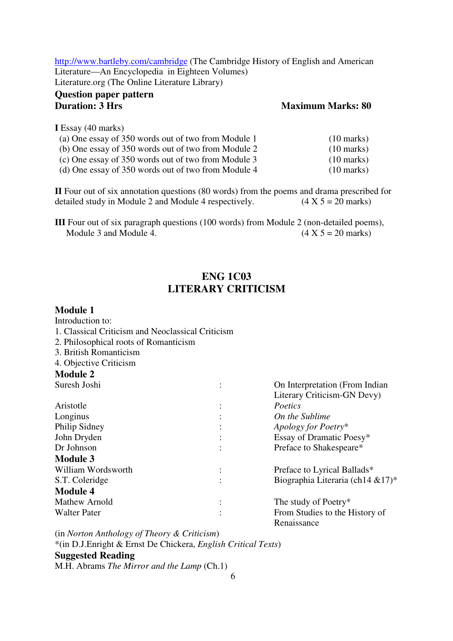http://www.bartleby.com/cambridge (The Cambridge History of English and American Literature—An Encyclopedia in Eighteen Volumes) Literature.org (The Online Literature Library)

#### **Question paper pattern Duration: 3 Hrs** Maximum Marks: 80

**I** Essay (40 marks)

| (a) One essay of 350 words out of two from Module 1 | $(10 \text{ marks})$ |
|-----------------------------------------------------|----------------------|
| (b) One essay of 350 words out of two from Module 2 | $(10 \text{ marks})$ |
| (c) One essay of 350 words out of two from Module 3 | $(10 \text{ marks})$ |
| (d) One essay of 350 words out of two from Module 4 | $(10 \text{ marks})$ |

**II** Four out of six annotation questions (80 words) from the poems and drama prescribed for detailed study in Module 2 and Module 4 respectively.  $(4 \times 5 = 20 \text{ marks})$ 

**III** Four out of six paragraph questions (100 words) from Module 2 (non-detailed poems), Module 3 and Module 4.  $(4 \times 5 = 20 \text{ marks})$ 

#### **ENG 1C03 LITERARY CRITICISM**

#### **Module 1**

Introduction to: 1. Classical Criticism and Neoclassical Criticism

- 2. Philosophical roots of Romanticism
- 3. British Romanticism
- 4. Objective Criticism

## **Module 2**

| Suresh Joshi        | On Interpretation (From Indian       |
|---------------------|--------------------------------------|
|                     | Literary Criticism-GN Devy)          |
| Aristotle           | Poetics                              |
| Longinus            | On the Sublime                       |
| Philip Sidney       | Apology for Poetry*                  |
| John Dryden         | Essay of Dramatic Poesy*             |
| Dr Johnson          | Preface to Shakespeare*              |
| <b>Module 3</b>     |                                      |
| William Wordsworth  | Preface to Lyrical Ballads*          |
| S.T. Coleridge      | Biographia Literaria (ch14 $& 17$ )* |
| <b>Module 4</b>     |                                      |
| Mathew Arnold       | The study of Poetry*                 |
| <b>Walter Pater</b> | From Studies to the History of       |
|                     | Renaissance                          |

(in *Norton Anthology of Theory & Criticism*)

\*(in D.J.Enright & Ernst De Chickera, *English Critical Texts*)

#### **Suggested Reading**

M.H. Abrams *The Mirror and the Lamp* (Ch.1)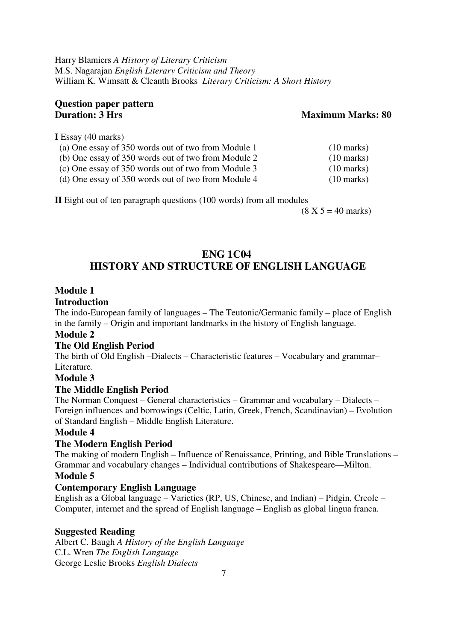Harry Blamiers *A History of Literary Criticism* M.S. Nagarajan *English Literary Criticism and Theory*  William K. Wimsatt & Cleanth Brooks *Literary Criticism: A Short History* 

# **Question paper pattern**

#### **Maximum Marks: 80**

**I** Essay (40 marks)

| (a) One essay of 350 words out of two from Module 1 | $(10 \text{ marks})$ |
|-----------------------------------------------------|----------------------|
| (b) One essay of 350 words out of two from Module 2 | $(10 \text{ marks})$ |
| (c) One essay of 350 words out of two from Module 3 | $(10 \text{ marks})$ |
| (d) One essay of 350 words out of two from Module 4 | $(10 \text{ marks})$ |

**II** Eight out of ten paragraph questions (100 words) from all modules

 $(8 \text{ X } 5 = 40 \text{ marks})$ 

## **ENG 1C04 HISTORY AND STRUCTURE OF ENGLISH LANGUAGE**

#### **Module 1**

#### **Introduction**

The indo-European family of languages – The Teutonic/Germanic family – place of English in the family – Origin and important landmarks in the history of English language.

#### **Module 2**

#### **The Old English Period**

The birth of Old English –Dialects – Characteristic features – Vocabulary and grammar– Literature.

#### **Module 3**

#### **The Middle English Period**

The Norman Conquest – General characteristics – Grammar and vocabulary – Dialects – Foreign influences and borrowings (Celtic, Latin, Greek, French, Scandinavian) – Evolution of Standard English – Middle English Literature.

#### **Module 4**

#### **The Modern English Period**

The making of modern English – Influence of Renaissance, Printing, and Bible Translations – Grammar and vocabulary changes – Individual contributions of Shakespeare—Milton.

#### **Module 5**

#### **Contemporary English Language**

English as a Global language – Varieties (RP, US, Chinese, and Indian) – Pidgin, Creole – Computer, internet and the spread of English language – English as global lingua franca.

#### **Suggested Reading**

Albert C. Baugh *A History of the English Language* C.L. Wren *The English Language* George Leslie Brooks *English Dialects*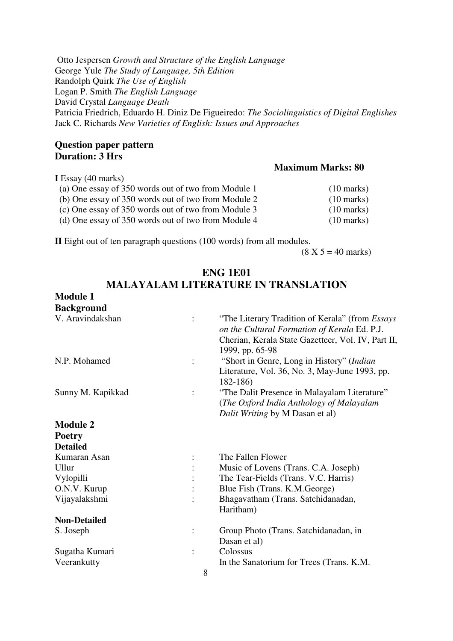Otto Jespersen *Growth and Structure of the English Language*  George Yule *The Study of Language, 5th Edition*  Randolph Quirk *The Use of English* Logan P. Smith *The English Language*  David Crystal *Language Death*  Patricia Friedrich, Eduardo H. Diniz De Figueiredo: *The Sociolinguistics of Digital Englishes*  Jack C. Richards *New Varieties of English: Issues and Approaches* 

#### **Question paper pattern Duration: 3 Hrs**

#### **Maximum Marks: 80 I** Essay (40 marks) (a) One essay of 350 words out of two from Module 1 (10 marks) (b) One essay of 350 words out of two from Module 2 (10 marks) (c) One essay of 350 words out of two from Module 3 (10 marks) (d) One essay of 350 words out of two from Module 4 (10 marks)

**II** Eight out of ten paragraph questions (100 words) from all modules.

 $(8 X 5 = 40 \text{ marks})$ 

|                     |                | <b>MALAYALAM LITERATURE IN TRANSLATION</b>                                                                                                                                      |
|---------------------|----------------|---------------------------------------------------------------------------------------------------------------------------------------------------------------------------------|
| <b>Module 1</b>     |                |                                                                                                                                                                                 |
| <b>Background</b>   |                |                                                                                                                                                                                 |
| V. Aravindakshan    | $\ddot{\cdot}$ | "The Literary Tradition of Kerala" (from <i>Essays</i><br>on the Cultural Formation of Kerala Ed. P.J.<br>Cherian, Kerala State Gazetteer, Vol. IV, Part II,<br>1999, pp. 65-98 |
| N.P. Mohamed        | $\vdots$       | "Short in Genre, Long in History" (Indian<br>Literature, Vol. 36, No. 3, May-June 1993, pp.<br>$182 - 186$                                                                      |
| Sunny M. Kapikkad   | $\ddot{\cdot}$ | "The Dalit Presence in Malayalam Literature"<br>(The Oxford India Anthology of Malayalam<br>Dalit Writing by M Dasan et al)                                                     |
| <b>Module 2</b>     |                |                                                                                                                                                                                 |
| <b>Poetry</b>       |                |                                                                                                                                                                                 |
| <b>Detailed</b>     |                |                                                                                                                                                                                 |
| Kumaran Asan        |                | The Fallen Flower                                                                                                                                                               |
| Ullur               |                | Music of Lovens (Trans. C.A. Joseph)                                                                                                                                            |
| Vylopilli           |                | The Tear-Fields (Trans. V.C. Harris)                                                                                                                                            |
| O.N.V. Kurup        |                | Blue Fish (Trans. K.M.George)                                                                                                                                                   |
| Vijayalakshmi       |                | Bhagavatham (Trans. Satchidanadan,<br>Haritham)                                                                                                                                 |
| <b>Non-Detailed</b> |                |                                                                                                                                                                                 |
| S. Joseph           |                | Group Photo (Trans. Satchidanadan, in<br>Dasan et al)                                                                                                                           |
| Sugatha Kumari      | $\ddot{\cdot}$ | Colossus                                                                                                                                                                        |
| Veerankutty         | 8              | In the Sanatorium for Trees (Trans. K.M.                                                                                                                                        |

# **ENG 1E01**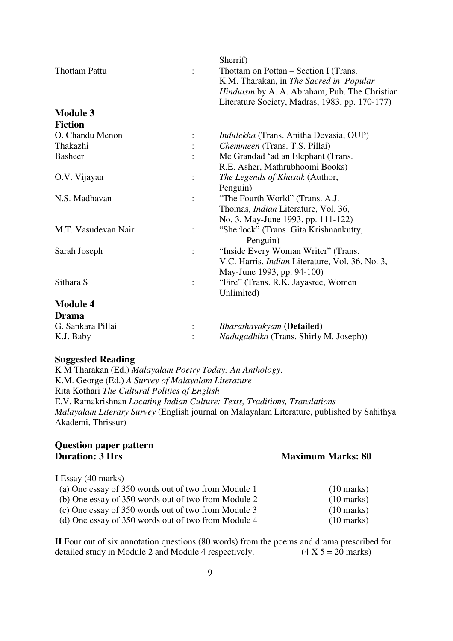|                      |                | Sherrif)                                               |
|----------------------|----------------|--------------------------------------------------------|
| <b>Thottam Pattu</b> |                | Thottam on Pottan – Section I (Trans.                  |
|                      |                | K.M. Tharakan, in The Sacred in Popular                |
|                      |                | <i>Hinduism</i> by A. A. Abraham, Pub. The Christian   |
|                      |                | Literature Society, Madras, 1983, pp. 170-177)         |
| <b>Module 3</b>      |                |                                                        |
| <b>Fiction</b>       |                |                                                        |
| O. Chandu Menon      |                | Indulekha (Trans. Anitha Devasia, OUP)                 |
| Thakazhi             |                | Chemmeen (Trans. T.S. Pillai)                          |
| <b>Basheer</b>       |                | Me Grandad 'ad an Elephant (Trans.                     |
|                      |                | R.E. Asher, Mathrubhoomi Books)                        |
| O.V. Vijayan         | $\ddot{\cdot}$ | The Legends of Khasak (Author,                         |
|                      |                | Penguin)                                               |
| N.S. Madhavan        |                | "The Fourth World" (Trans. A.J.                        |
|                      |                | Thomas, <i>Indian</i> Literature, Vol. 36,             |
|                      |                | No. 3, May-June 1993, pp. 111-122)                     |
| M.T. Vasudevan Nair  |                | "Sherlock" (Trans. Gita Krishnankutty,                 |
|                      |                | Penguin)                                               |
| Sarah Joseph         |                | "Inside Every Woman Writer" (Trans.                    |
|                      |                | V.C. Harris, <i>Indian</i> Literature, Vol. 36, No. 3, |
|                      |                | May-June 1993, pp. 94-100)                             |
| Sithara S            |                | "Fire" (Trans. R.K. Jayasree, Women)                   |
|                      |                | Unlimited)                                             |
| <b>Module 4</b>      |                |                                                        |
| <b>Drama</b>         |                |                                                        |
| G. Sankara Pillai    |                | <b>Bharathavakyam</b> (Detailed)                       |
| K.J. Baby            |                | Nadugadhika (Trans. Shirly M. Joseph))                 |
|                      |                |                                                        |

#### **Suggested Reading**

K M Tharakan (Ed.) *Malayalam Poetry Today: An Anthology*. K.M. George (Ed.) *A Survey of Malayalam Literature* Rita Kothari *The Cultural Politics of English*  E.V. Ramakrishnan *Locating Indian Culture: Texts, Traditions, Translations Malayalam Literary Survey* (English journal on Malayalam Literature, published by Sahithya Akademi, Thrissur)

# **Question paper pattern**

#### **Maximum Marks: 80 I** Essay (40 marks) (a) One essay of 350 words out of two from Module 1 (10 marks) (b) One essay of 350 words out of two from Module 2 (10 marks) (c) One essay of 350 words out of two from Module 3 (10 marks)

(d) One essay of 350 words out of two from Module 4 (10 marks)

**II** Four out of six annotation questions (80 words) from the poems and drama prescribed for detailed study in Module 2 and Module 4 respectively. (4 X  $5 = 20$  marks)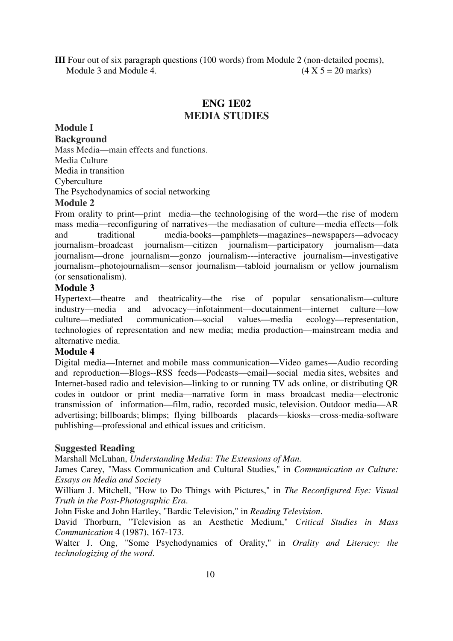**III** Four out of six paragraph questions (100 words) from Module 2 (non-detailed poems), Module 3 and Module 4.  $(4 \times 5 = 20 \text{ marks})$ 

#### **ENG 1E02 MEDIA STUDIES**

## **Module I**

**Background** 

Mass Media—main effects and functions. Media Culture Media in transition **Cyberculture** The Psychodynamics of social networking

#### **Module 2**

From orality to print—print media—the technologising of the word—the rise of modern mass media—reconfiguring of narratives—the mediasation of culture—media effects—folk and traditional media-books—pamphlets—magazines--newspapers—advocacy journalism–broadcast journalism—citizen journalism—participatory journalism—data journalism—drone journalism—gonzo journalism--–interactive journalism—investigative journalism--photojournalism—sensor journalism—tabloid journalism or yellow journalism (or sensationalism).

#### **Module 3**

Hypertext—theatre and theatricality—the rise of popular sensationalism—culture industry—media and advocacy—infotainment—docutainment—internet culture—low culture—mediated communication—social values—media ecology—representation, technologies of representation and new media; media production—mainstream media and alternative media.

#### **Module 4**

Digital media—Internet and mobile mass communication—Video games—Audio recording and reproduction—Blogs--RSS feeds—Podcasts—email—social media sites, websites and Internet-based radio and television—linking to or running TV ads online, or distributing QR codes in outdoor or print media—narrative form in mass broadcast media—electronic transmission of information—film, radio, recorded music, television. Outdoor media—AR advertising; billboards; blimps; flying billboards placards—kiosks—cross-media-software publishing—professional and ethical issues and criticism.

#### **Suggested Reading**

Marshall McLuhan, *Understanding Media: The Extensions of Man.* 

James Carey, "Mass Communication and Cultural Studies," in *Communication as Culture: Essays on Media and Society* 

William J. Mitchell, "How to Do Things with Pictures," in *The Reconfigured Eye: Visual Truth in the Post-Photographic Era*.

John Fiske and John Hartley, "Bardic Television," in *Reading Television*.

David Thorburn, "Television as an Aesthetic Medium," *Critical Studies in Mass Communication* 4 (1987), 167-173.

Walter J. Ong, "Some Psychodynamics of Orality," in *Orality and Literacy: the technologizing of the word*.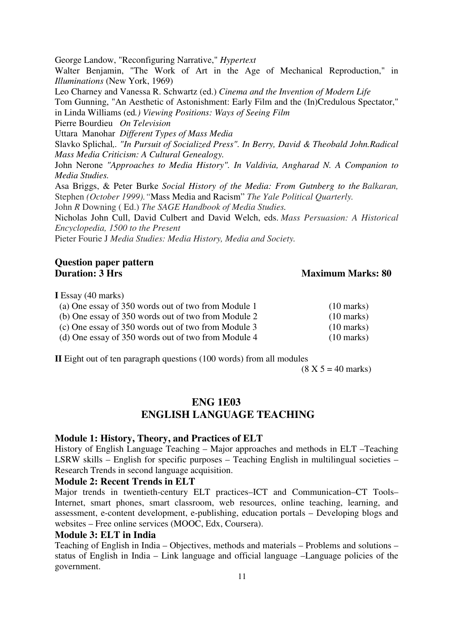George Landow, "Reconfiguring Narrative," *Hypertext*

Walter Benjamin, "The Work of Art in the Age of Mechanical Reproduction," in *Illuminations* (New York, 1969)

Leo Charney and Vanessa R. Schwartz (ed.) *Cinema and the Invention of Modern Life*

Tom Gunning, "An Aesthetic of Astonishment: Early Film and the (In)Credulous Spectator," in Linda Williams (ed*.) Viewing Positions: Ways of Seeing Film*

Pierre Bourdieu *On Television*

UttaraManohar *Different Types of Mass Media*

Slavko Splichal*,. "In Pursuit of Socialized Press". In Berry, David & Theobald John.Radical Mass Media Criticism: A Cultural Genealogy.* 

John Nerone *"Approaches to Media History". In Valdivia, Angharad N. A Companion to Media Studies.* 

Asa Briggs, & Peter Burke *Social History of the Media: From Gutnberg to the Balkaran,*  Stephen *(October 1999)."*Mass Media and Racism" *The Yale Political Quarterly.* 

John *R* Downing ( Ed.) *The SAGE Handbook of Media Studies.* 

Nicholas John Cull, David Culbert and David Welch, eds. *Mass Persuasion: A Historical Encyclopedia, 1500 to the Present*

Pieter Fourie J *Media Studies: Media History, Media and Society.* 

#### **Question paper pattern Duration: 3 Hrs** Maximum Marks: 80

**I** Essay (40 marks)

| (a) One essay of 350 words out of two from Module 1 | $(10 \text{ marks})$ |
|-----------------------------------------------------|----------------------|
| (b) One essay of 350 words out of two from Module 2 | $(10 \text{ marks})$ |
| (c) One essay of 350 words out of two from Module 3 | $(10 \text{ marks})$ |
| (d) One essay of 350 words out of two from Module 4 | $(10 \text{ marks})$ |

**II** Eight out of ten paragraph questions (100 words) from all modules

 $(8 \text{ X } 5 = 40 \text{ marks})$ 

#### **ENG 1E03 ENGLISH LANGUAGE TEACHING**

#### **Module 1: History, Theory, and Practices of ELT**

History of English Language Teaching – Major approaches and methods in ELT –Teaching LSRW skills – English for specific purposes – Teaching English in multilingual societies – Research Trends in second language acquisition.

#### **Module 2: Recent Trends in ELT**

Major trends in twentieth-century ELT practices–ICT and Communication–CT Tools– Internet, smart phones, smart classroom, web resources, online teaching, learning, and assessment, e-content development, e-publishing, education portals – Developing blogs and websites – Free online services (MOOC, Edx, Coursera).

#### **Module 3: ELT in India**

Teaching of English in India – Objectives, methods and materials – Problems and solutions – status of English in India – Link language and official language –Language policies of the government.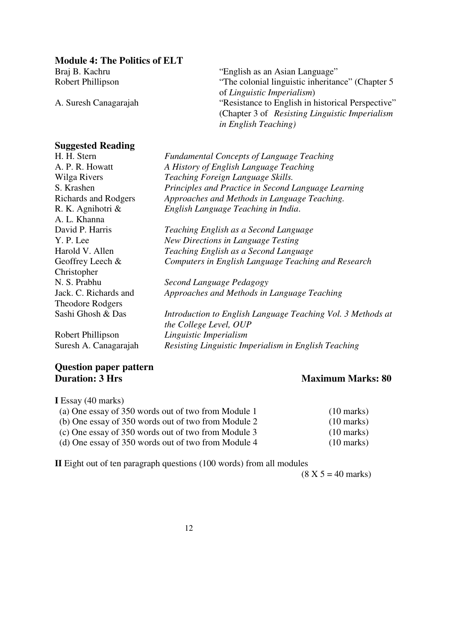**Module 4: The Politics of ELT** 

Braj B. Kachru "English as an Asian Language"<br>
Robert Phillipson "The colonial linguistic inheritan "The colonial linguistic inheritance" (Chapter 5 of *Linguistic Imperialism*) A. Suresh Canagarajah "Resistance to English in historical Perspective" (Chapter 3 of *Resisting Linguistic Imperialism in English Teaching)* 

#### **Suggested Reading**

| H. H. Stern             | <b>Fundamental Concepts of Language Teaching</b>            |
|-------------------------|-------------------------------------------------------------|
| A. P. R. Howatt         | A History of English Language Teaching                      |
| Wilga Rivers            | Teaching Foreign Language Skills.                           |
| S. Krashen              | Principles and Practice in Second Language Learning         |
| Richards and Rodgers    | Approaches and Methods in Language Teaching.                |
| R. K. Agnihotri &       | English Language Teaching in India.                         |
| A. L. Khanna            |                                                             |
| David P. Harris         | Teaching English as a Second Language                       |
| Y. P. Lee               | New Directions in Language Testing                          |
| Harold V. Allen         | Teaching English as a Second Language                       |
| Geoffrey Leech $&$      | Computers in English Language Teaching and Research         |
| Christopher             |                                                             |
| N. S. Prabhu            | Second Language Pedagogy                                    |
| Jack. C. Richards and   | Approaches and Methods in Language Teaching                 |
| <b>Theodore Rodgers</b> |                                                             |
| Sashi Ghosh & Das       | Introduction to English Language Teaching Vol. 3 Methods at |
|                         | the College Level, OUP                                      |
| Robert Phillipson       | Linguistic Imperialism                                      |
| Suresh A. Canagarajah   | Resisting Linguistic Imperialism in English Teaching        |
|                         |                                                             |

#### **Question paper pattern Duration: 3 Hrs Maximum Marks: 80**

**I** Essay (40 marks)

| (a) One essay of 350 words out of two from Module 1 | $(10 \text{ marks})$ |
|-----------------------------------------------------|----------------------|
| (b) One essay of 350 words out of two from Module 2 | $(10 \text{ marks})$ |
| (c) One essay of 350 words out of two from Module 3 | $(10 \text{ marks})$ |
| (d) One essay of 350 words out of two from Module 4 | $(10 \text{ marks})$ |

**II** Eight out of ten paragraph questions (100 words) from all modules

 $(8 \text{ X } 5 = 40 \text{ marks})$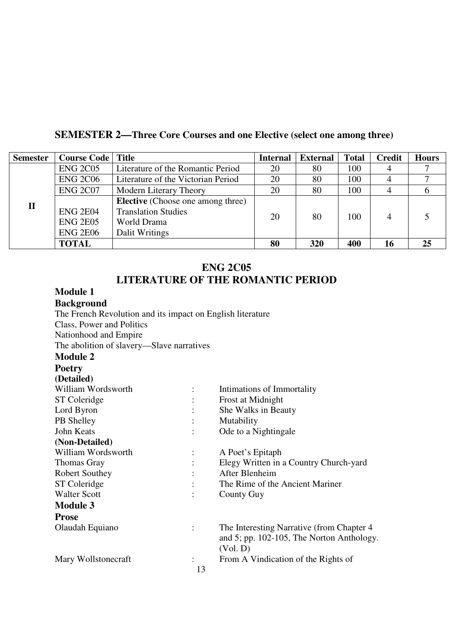## **SEMESTER 2—Three Core Courses and one Elective (select one among three)**

| <b>Semester</b> | <b>Course Code   Title</b> |                                          | <b>Internal</b> | <b>External</b> | <b>Total</b> | <b>Credit</b> | <b>Hours</b> |
|-----------------|----------------------------|------------------------------------------|-----------------|-----------------|--------------|---------------|--------------|
|                 | <b>ENG 2C05</b>            | Literature of the Romantic Period        | 20              | 80              | 100          | 4             |              |
|                 | <b>ENG 2C06</b>            | Literature of the Victorian Period       | 20              | 80              | 100          |               |              |
|                 | <b>ENG 2C07</b>            | Modern Literary Theory                   | 20              | 80              | 100          |               |              |
| $\mathbf H$     |                            | <b>Elective</b> (Choose one among three) |                 |                 |              |               |              |
|                 | <b>ENG 2E04</b>            | <b>Translation Studies</b>               | 20              | 80              | 100          | 4             |              |
|                 | <b>ENG 2E05</b>            | World Drama                              |                 |                 |              |               |              |
|                 | <b>ENG 2E06</b>            | Dalit Writings                           |                 |                 |              |               |              |
|                 | <b>TOTAL</b>               |                                          | 80              | 320             | 400          | 16            | 25           |

#### **ENG 2C05 LITERATURE OF THE ROMANTIC PERIOD**

#### **Module 1 Background**

| Davngi vunu                                                |    |                                              |
|------------------------------------------------------------|----|----------------------------------------------|
| The French Revolution and its impact on English literature |    |                                              |
| Class, Power and Politics                                  |    |                                              |
| Nationhood and Empire                                      |    |                                              |
| The abolition of slavery—Slave narratives                  |    |                                              |
| <b>Module 2</b>                                            |    |                                              |
| <b>Poetry</b>                                              |    |                                              |
| (Detailed)                                                 |    |                                              |
| William Wordsworth                                         |    | Intimations of Immortality                   |
| ST Coleridge                                               |    | Frost at Midnight                            |
| Lord Byron                                                 |    | She Walks in Beauty                          |
| PB Shelley                                                 |    | Mutability                                   |
| John Keats                                                 |    | Ode to a Nightingale                         |
| (Non-Detailed)                                             |    |                                              |
| William Wordsworth                                         |    | A Poet's Epitaph                             |
| Thomas Gray                                                |    | Elegy Written in a Country Church-yard       |
| Robert Southey                                             |    | After Blenheim                               |
| ST Coleridge                                               |    | The Rime of the Ancient Mariner              |
| <b>Walter Scott</b>                                        |    | County Guy                                   |
| <b>Module 3</b>                                            |    |                                              |
| <b>Prose</b>                                               |    |                                              |
| Olaudah Equiano                                            |    | The Interesting Narrative (from Chapter 4)   |
|                                                            |    | and 5; pp. $102-105$ , The Norton Anthology. |
|                                                            |    | (Vol. D)                                     |
| Mary Wollstonecraft                                        |    | From A Vindication of the Rights of          |
|                                                            | 13 |                                              |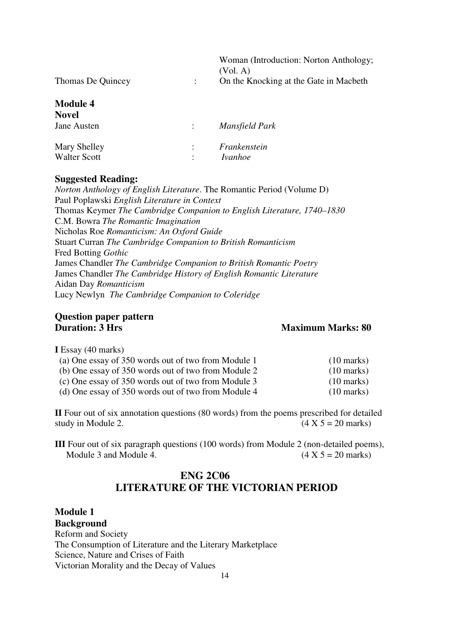|                                 | Woman (Introduction: Norton Anthology;<br>(Vol. A) |
|---------------------------------|----------------------------------------------------|
| Thomas De Quincey               | On the Knocking at the Gate in Macbeth             |
| <b>Module 4</b><br><b>Novel</b> |                                                    |
| Jane Austen                     | Mansfield Park                                     |

| Mary Shelley<br>Walter Scott | Frankenstein<br><i>Ivanhoe</i> |
|------------------------------|--------------------------------|

#### **Suggested Reading:**

*Norton Anthology of English Literature*. The Romantic Period (Volume D) Paul Poplawski *English Literature in Context*  Thomas Keymer *The Cambridge Companion to English Literature, 1740–1830*  C.M. Bowra *The Romantic Imagination* Nicholas Roe *Romanticism: An Oxford Guide*  Stuart Curran *The Cambridge Companion to British Romanticism*  Fred Botting *Gothic* James Chandler *The Cambridge Companion to British Romantic Poetry*  James Chandler *The Cambridge History of English Romantic Literature* Aidan Day *Romanticism* Lucy Newlyn *The Cambridge Companion to Coleridge*

#### **Question paper pattern Duration: 3 Hrs** Maximum Marks: 80

**I** Essay (40 marks)

| (a) One essay of 350 words out of two from Module 1 | $(10 \text{ marks})$ |
|-----------------------------------------------------|----------------------|
| (b) One essay of 350 words out of two from Module 2 | $(10 \text{ marks})$ |
| (c) One essay of 350 words out of two from Module 3 | $(10 \text{ marks})$ |
| (d) One essay of 350 words out of two from Module 4 | $(10 \text{ marks})$ |

**II** Four out of six annotation questions (80 words) from the poems prescribed for detailed study in Module 2.  $(4 \times 5 = 20 \text{ marks})$ 

**III** Four out of six paragraph questions (100 words) from Module 2 (non-detailed poems), Module 3 and Module 4.  $(4 \times 5 = 20 \text{ marks})$ 

#### **ENG 2C06 LITERATURE OF THE VICTORIAN PERIOD**

**Module 1 Background** Reform and Society The Consumption of Literature and the Literary Marketplace Science, Nature and Crises of Faith Victorian Morality and the Decay of Values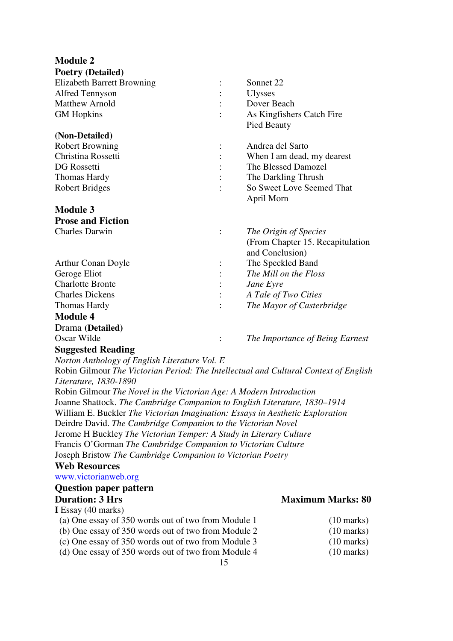| <b>Module 2</b>                   |                |                                   |
|-----------------------------------|----------------|-----------------------------------|
| <b>Poetry (Detailed)</b>          |                |                                   |
| <b>Elizabeth Barrett Browning</b> |                | Sonnet 22                         |
| <b>Alfred Tennyson</b>            |                | <b>Ulysses</b>                    |
| <b>Matthew Arnold</b>             |                | Dover Beach                       |
| <b>GM</b> Hopkins                 |                | As Kingfishers Catch Fire         |
|                                   |                | Pied Beauty                       |
| (Non-Detailed)                    |                |                                   |
| <b>Robert Browning</b>            | $\ddot{\cdot}$ | Andrea del Sarto                  |
| Christina Rossetti                |                | When I am dead, my dearest        |
| DG Rossetti                       |                | The Blessed Damozel               |
| Thomas Hardy                      |                | The Darkling Thrush               |
| <b>Robert Bridges</b>             |                | So Sweet Love Seemed That         |
|                                   |                | April Morn                        |
| <b>Module 3</b>                   |                |                                   |
| <b>Prose and Fiction</b>          |                |                                   |
| <b>Charles Darwin</b>             |                | The Origin of Species             |
|                                   |                | (From Chapter 15. Recapitulation) |
|                                   |                | and Conclusion)                   |
| <b>Arthur Conan Doyle</b>         | $\vdots$       | The Speckled Band                 |
| Geroge Eliot                      |                | The Mill on the Floss             |
| <b>Charlotte Bronte</b>           |                | Jane Eyre                         |
| <b>Charles Dickens</b>            |                | A Tale of Two Cities              |
| <b>Thomas Hardy</b>               |                | The Mayor of Casterbridge         |
| <b>Module 4</b>                   |                |                                   |
| Drama (Detailed)                  |                |                                   |
| Oscar Wilde                       | $\ddot{\cdot}$ | The Importance of Being Earnest   |
| <b>Suggested Reading</b>          |                |                                   |

*Norton Anthology of English Literature Vol. E* 

Robin Gilmour *The Victorian Period: The Intellectual and Cultural Context of English Literature, 1830-1890* 

Robin Gilmour *The Novel in the Victorian Age: A Modern Introduction* Joanne Shattock. *The Cambridge Companion to English Literature, 1830–1914*  William E. Buckler *The Victorian Imagination: Essays in Aesthetic Exploration* Deirdre David. *The Cambridge Companion to the Victorian Novel* Jerome H Buckley *The Victorian Temper: A Study in Literary Culture*  Francis O'Gorman *The Cambridge Companion to Victorian Culture* Joseph Bristow *The Cambridge Companion to Victorian Poetry*

#### **Web Resources**

www.victorianweb.org

#### **Question paper pattern**

#### **I** Essay (40 marks)

- (a) One essay of 350 words out of two from Module 1 (10 marks) (b) One essay of  $350$  words out of two from Module 2
- (c) One essay of 350 words out of two from Module 3 (10 marks)
- (d) One essay of 350 words out of two from Module 4 (10 marks)
- 15

#### **Duration: 3 Hrs** Maximum Marks: 80

| $(10 \text{ marks})$ |
|----------------------|
| $(10 \text{ marks})$ |
|                      |

- 
-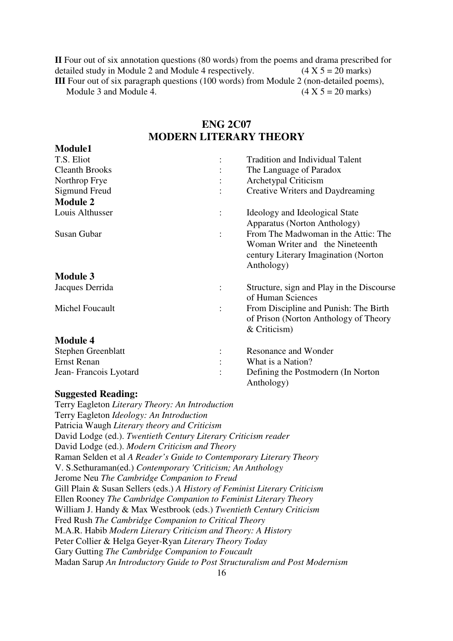**II** Four out of six annotation questions (80 words) from the poems and drama prescribed for detailed study in Module 2 and Module 4 respectively.  $(4 \times 5 = 20 \text{ marks})$ **III** Four out of six paragraph questions (100 words) from Module 2 (non-detailed poems), Module 3 and Module 4.  $(4 \times 5 = 20 \text{ marks})$ 

#### **ENG 2C07 MODERN LITERARY THEORY**

| Nodule                    |                                                                                                                               |
|---------------------------|-------------------------------------------------------------------------------------------------------------------------------|
| T.S. Eliot                | <b>Tradition and Individual Talent</b>                                                                                        |
| <b>Cleanth Brooks</b>     | The Language of Paradox                                                                                                       |
| Northrop Frye             | Archetypal Criticism                                                                                                          |
| Sigmund Freud             | Creative Writers and Daydreaming                                                                                              |
| <b>Module 2</b>           |                                                                                                                               |
| Louis Althusser           | Ideology and Ideological State<br>Apparatus (Norton Anthology)                                                                |
| Susan Gubar               | From The Madwoman in the Attic: The<br>Woman Writer and the Nineteenth<br>century Literary Imagination (Norton)<br>Anthology) |
| <b>Module 3</b>           |                                                                                                                               |
| Jacques Derrida           | Structure, sign and Play in the Discourse<br>of Human Sciences                                                                |
| Michel Foucault           | From Discipline and Punish: The Birth<br>of Prison (Norton Anthology of Theory<br>& Criticism)                                |
| <b>Module 4</b>           |                                                                                                                               |
| <b>Stephen Greenblatt</b> | Resonance and Wonder                                                                                                          |
| Ernst Renan               | What is a Nation?                                                                                                             |
| Jean-Francois Lyotard     | Defining the Postmodern (In Norton)<br>Anthology)                                                                             |

#### **Suggested Reading:**

**Module1** 

Terry Eagleton *Literary Theory: An Introduction* Terry Eagleton *Ideology: An Introduction* Patricia Waugh *Literary theory and Criticism*  David Lodge (ed.). *Twentieth Century Literary Criticism reader*  David Lodge (ed.). *Modern Criticism and Theory*  Raman Selden et al *A Reader's Guide to Contemporary Literary Theory* V. S.Sethuraman(ed.) *Contemporary 'Criticism; An Anthology* Jerome Neu *The Cambridge Companion to Freud*  Gill Plain & Susan Sellers (eds.) *A History of Feminist Literary Criticism*  Ellen Rooney *The Cambridge Companion to Feminist Literary Theory*  William J. Handy & Max Westbrook (eds.) *Twentieth Century Criticism* Fred Rush *The Cambridge Companion to Critical Theory*  M.A.R. Habib *Modern Literary Criticism and Theory: A History*  Peter Collier & Helga Geyer-Ryan *Literary Theory Today*  Gary Gutting *The Cambridge Companion to Foucault*  Madan Sarup *An Introductory Guide to Post Structuralism and Post Modernism*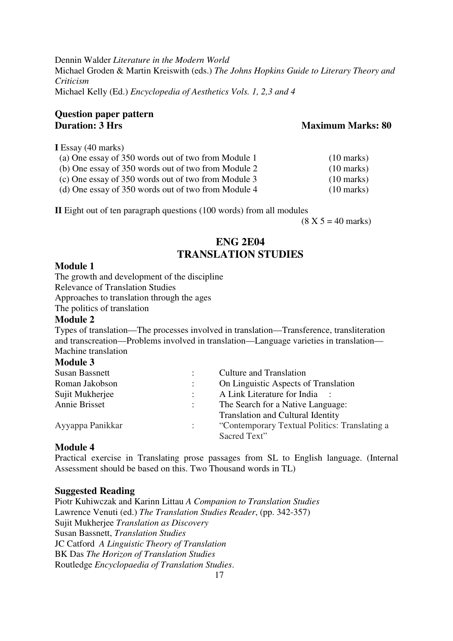Dennin Walder *Literature in the Modern World*  Michael Groden & Martin Kreiswith (eds.) *The Johns Hopkins Guide to Literary Theory and Criticism*  Michael Kelly (Ed.) *Encyclopedia of Aesthetics Vols. 1, 2,3 and 4* 

#### **Question paper pattern Duration: 3 Hrs** Maximum Marks: 80

**I** Essay (40 marks)

(a) One essay of 350 words out of two from Module 1 (10 marks)

(b) One essay of 350 words out of two from Module 2 (10 marks)

(c) One essay of 350 words out of two from Module 3 (10 marks)

(d) One essay of 350 words out of two from Module 4 (10 marks)

**II** Eight out of ten paragraph questions (100 words) from all modules

 $(8 \text{ X } 5 = 40 \text{ marks})$ 

#### **ENG 2E04 TRANSLATION STUDIES**

#### **Module 1**

The growth and development of the discipline

Relevance of Translation Studies

Approaches to translation through the ages

The politics of translation

#### **Module 2**

Types of translation—The processes involved in translation—Transference, transliteration and transcreation—Problems involved in translation—Language varieties in translation— Machine translation

#### **Module 3**

| Susan Bassnett   | Culture and Translation                       |
|------------------|-----------------------------------------------|
| Roman Jakobson   | On Linguistic Aspects of Translation          |
| Sujit Mukherjee  | A Link Literature for India :                 |
| Annie Brisset    | The Search for a Native Language:             |
|                  | <b>Translation and Cultural Identity</b>      |
| Ayyappa Panikkar | "Contemporary Textual Politics: Translating a |
|                  | Sacred Text"                                  |
|                  |                                               |

#### **Module 4**

Practical exercise in Translating prose passages from SL to English language. (Internal Assessment should be based on this. Two Thousand words in TL)

#### **Suggested Reading**

Piotr Kuhiwczak and Karinn Littau *A Companion to Translation Studies*  Lawrence Venuti (ed.) *The Translation Studies Reader*, (pp. 342-357) Sujit Mukherjee *Translation as Discovery* Susan Bassnett, *Translation Studies* JC Catford *A Linguistic Theory of Translation* BK Das *The Horizon of Translation Studies*  Routledge *Encyclopaedia of Translation Studies*.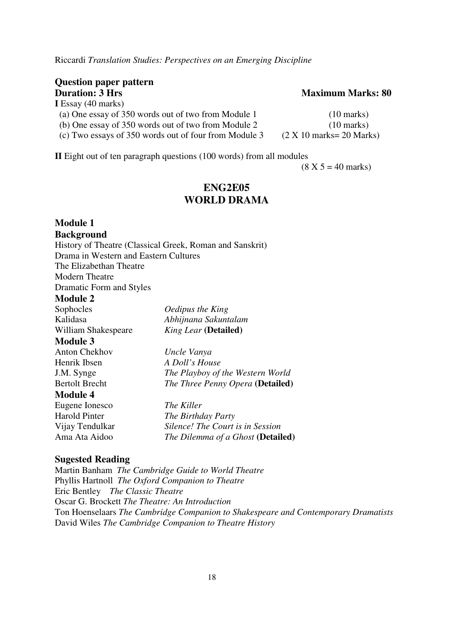Riccardi *Translation Studies: Perspectives on an Emerging Discipline* 

#### **Question paper pattern Duration: 3 Hrs** Maximum Marks: 80 **I** Essay (40 marks)

| і слэду (40 шанлэ)                                    |                                                  |
|-------------------------------------------------------|--------------------------------------------------|
| (a) One essay of 350 words out of two from Module 1   | $(10 \text{ marks})$                             |
| (b) One essay of 350 words out of two from Module 2   | $(10 \text{ marks})$                             |
| (c) Two essays of 350 words out of four from Module 3 | $(2 \times 10 \text{ marks} = 20 \text{ Marks})$ |

**II** Eight out of ten paragraph questions (100 words) from all modules

 $(8 X 5 = 40 \text{ marks})$ 

#### **ENG2E05 WORLD DRAMA**

### **Module 1**

#### **Background**

History of Theatre (Classical Greek, Roman and Sanskrit) Drama in Western and Eastern Cultures The Elizabethan Theatre Modern Theatre Dramatic Form and Styles

#### **Module 2**

| Sophocles           |  |
|---------------------|--|
| Kalidasa            |  |
| William Shakespeare |  |
| <b>A</b> <i>I</i> I |  |

#### **Module 3**

Anton Chekhov *Uncle Vanya* Henrik Ibsen *A Doll's House* 

Eugene Ionesco *The Killer*

*Oedipus the King* Kalidasa *Abhijnana Sakuntalam King Lear* (Detailed)

J.M. Synge *The Playboy of the Western World*  Bertolt Brecht *The Three Penny Opera* **(Detailed)** 

#### **Module 4**

Harold Pinter *The Birthday Party*  Vijay Tendulkar *Silence! The Court is in Session* Ama Ata Aidoo *The Dilemma of a Ghost* **(Detailed)**

#### **Sugested Reading**

Martin Banham *The Cambridge Guide to World Theatre*  Phyllis Hartnoll *The Oxford Companion to Theatre* Eric Bentley *The Classic Theatre* Oscar G. Brockett *The Theatre: An Introduction* Ton Hoenselaars *The Cambridge Companion to Shakespeare and Contemporary Dramatists*  David Wiles *The Cambridge Companion to Theatre History*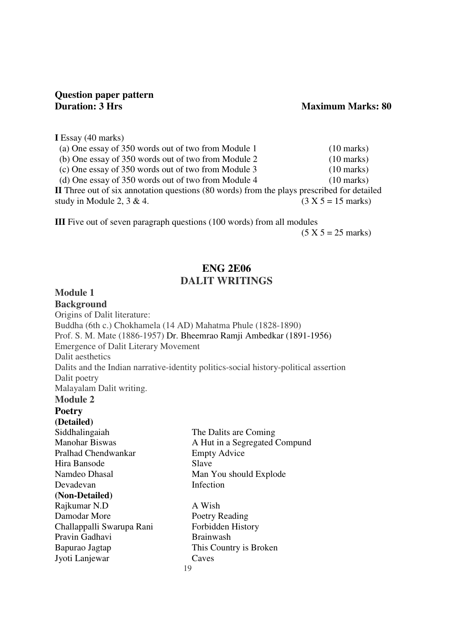# **Question paper pattern**

#### **Maximum Marks: 80**

**I** Essay (40 marks)

| (a) One essay of 350 words out of two from Module 1                                        | $(10 \text{ marks})$         |
|--------------------------------------------------------------------------------------------|------------------------------|
| (b) One essay of 350 words out of two from Module 2                                        | $(10 \text{ marks})$         |
| (c) One essay of 350 words out of two from Module 3                                        | $(10 \text{ marks})$         |
| (d) One essay of 350 words out of two from Module 4                                        | $(10 \text{ marks})$         |
| II Three out of six annotation questions (80 words) from the plays prescribed for detailed |                              |
| study in Module 2, $3 \& 4$ .                                                              | $(3 X 5 = 15 \text{ marks})$ |

**III** Five out of seven paragraph questions (100 words) from all modules

 $(5 X 5 = 25 \text{ marks})$ 

#### **ENG 2E06 DALIT WRITINGS**

#### **Module 1**

**Background** Origins of Dalit literature: Buddha (6th c.) Chokhamela (14 AD) Mahatma Phule (1828-1890) Prof. S. M. Mate (1886-1957) Dr. Bheemrao Ramji Ambedkar (1891-1956) Emergence of Dalit Literary Movement Dalit aesthetics Dalits and the Indian narrative-identity politics-social history-political assertion Dalit poetry Malayalam Dalit writing.

#### **Module 2 Poetry**

**(Detailed)**  Siddhalingaiah The Dalits are Coming Manohar Biswas A Hut in a Segregated Compund Pralhad Chendwankar Empty Advice Hira Bansode Slave Namdeo Dhasal Man You should Explode Devadevan Infection **(Non-Detailed)**  Rajkumar N.D A Wish Damodar More<br>
Poetry Reading Challappalli Swarupa Rani Forbidden History Pravin Gadhavi Brainwash Bapurao Jagtap This Country is Broken Jyoti Lanjewar Caves 19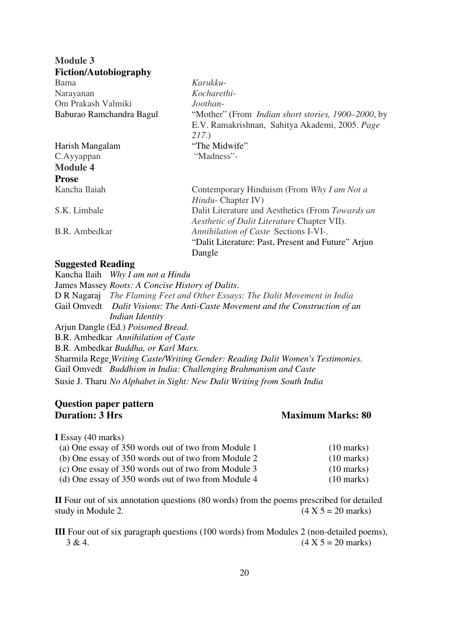| <b>Module 3</b>              |                                                                                                                       |
|------------------------------|-----------------------------------------------------------------------------------------------------------------------|
| <b>Fiction/Autobiography</b> |                                                                                                                       |
| <b>Bama</b>                  | Karukku-                                                                                                              |
| Narayanan                    | Kocharethi-                                                                                                           |
| Om Prakash Valmiki           | Joothan-                                                                                                              |
| Baburao Ramchandra Bagul     | "Mother" (From <i>Indian short stories, 1900–2000</i> , by<br>E.V. Ramakrishnan, Sahitya Akademi, 2005. Page<br>217.) |
| Harish Mangalam              | "The Midwife"                                                                                                         |
| C.Ayyappan                   | "Madness"-                                                                                                            |
| <b>Module 4</b>              |                                                                                                                       |
| <b>Prose</b>                 |                                                                                                                       |
| Kancha Ilaiah                | Contemporary Hinduism (From Why I am Not a<br><i>Hindu</i> - Chapter IV)                                              |
| S.K. Limbale                 | Dalit Literature and Aesthetics (From Towards an<br><i>Aesthetic of Dalit Literature Chapter VII).</i>                |
| B.R. Ambedkar                | Annihilation of Caste Sections I-VI-.<br>"Dalit Literature: Past, Present and Future" Arjun<br>Dangle                 |

#### **Suggested Reading**

Kancha Ilaih *Why I am not a Hindu* James Massey *Roots: A Concise History of Dalits*. D R Nagaraj *The Flaming Feet and Other Essays: The Dalit Movement in India*  Gail Omvedt *Dalit Visions: The Anti-Caste Movement and the Construction of an Indian Identity*  Arjun Dangle (Ed.) *Poisoned Bread.*  B.R. Ambedkar *Annihilation of Caste*  B.R. Ambedkar *Buddha, or Karl Marx.*  Sharmila Rege *Writing Caste/Writing Gender: Reading Dalit Women's Testimonies.* Gail Omvedt *Buddhism in India: Challenging Brahmanism and Caste* Susie J. Tharu *No Alphabet in Sight: New Dalit Writing from South India*

# **Question paper pattern**

#### **Maximum Marks: 80**

**I** Essay (40 marks)

| (a) One essay of 350 words out of two from Module 1 | $(10 \text{ marks})$ |
|-----------------------------------------------------|----------------------|
| (b) One essay of 350 words out of two from Module 2 | $(10 \text{ marks})$ |
| (c) One essay of 350 words out of two from Module 3 | $(10 \text{ marks})$ |
| (d) One essay of 350 words out of two from Module 4 | $(10 \text{ marks})$ |

**II** Four out of six annotation questions (80 words) from the poems prescribed for detailed study in Module 2.  $(4 \times 5 = 20 \text{ marks})$ 

**III** Four out of six paragraph questions (100 words) from Modules 2 (non-detailed poems),  $3 \& 4.$  (4 X 5 = 20 marks)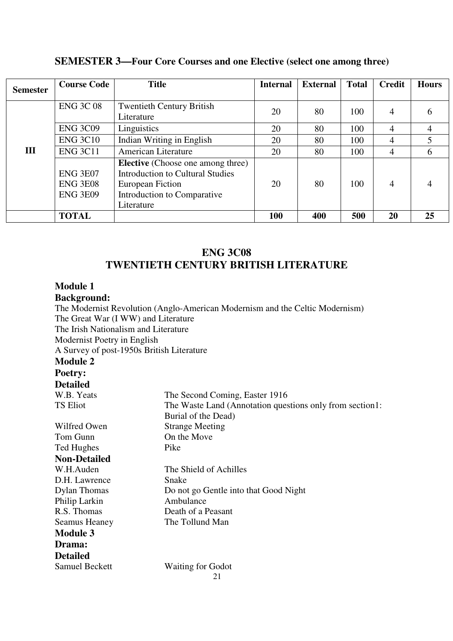| <b>SEMESTER 3—Four Core Courses and one Elective (select one among three)</b> |  |  |  |  |  |
|-------------------------------------------------------------------------------|--|--|--|--|--|
|-------------------------------------------------------------------------------|--|--|--|--|--|

| <b>Semester</b> | <b>Course Code</b>                                    | <b>Title</b>                                                                                                                                         | <b>Internal</b> | <b>External</b> | <b>Total</b> | Credit | <b>Hours</b> |
|-----------------|-------------------------------------------------------|------------------------------------------------------------------------------------------------------------------------------------------------------|-----------------|-----------------|--------------|--------|--------------|
|                 | <b>ENG 3C 08</b>                                      | <b>Twentieth Century British</b><br>Literature                                                                                                       | 20              | 80              | 100          | 4      | h            |
|                 | <b>ENG 3C09</b>                                       | Linguistics                                                                                                                                          | 20              | 80              | 100          | 4      | 4            |
|                 | <b>ENG 3C10</b>                                       | Indian Writing in English                                                                                                                            | 20              | 80              | 100          | 4      |              |
| Ш               | <b>ENG 3C11</b>                                       | <b>American Literature</b>                                                                                                                           | 20              | 80              | 100          | 4      | 6            |
|                 | <b>ENG 3E07</b><br><b>ENG 3E08</b><br><b>ENG 3E09</b> | <b>Elective</b> (Choose one among three)<br><b>Introduction to Cultural Studies</b><br>European Fiction<br>Introduction to Comparative<br>Literature | 20              | 80              | 100          | 4      |              |
|                 | <b>TOTAL</b>                                          |                                                                                                                                                      | 100             | 400             | 500          | 20     | 25           |

#### **ENG 3C08 TWENTIETH CENTURY BRITISH LITERATURE**

#### **Module 1**

#### **Background:**

The Modernist Revolution (Anglo-American Modernism and the Celtic Modernism) The Great War (I WW) and Literature The Irish Nationalism and Literature Modernist Poetry in English A Survey of post-1950s British Literature **Module 2 Poetry: Detailed**<br>W.B. Yeats W.B. Yeats The Second Coming, Easter 1916<br>TS Eliot The Waste Land (Annotation ques The Waste Land (Annotation questions only from section1: Burial of the Dead) Wilfred Owen Strange Meeting Tom Gunn On the Move Ted Hughes Pike **Non-Detailed**  W.H.Auden The Shield of Achilles D.H. Lawrence Snake Dylan Thomas Do not go Gentle into that Good Night Philip Larkin Ambulance<br>R.S. Thomas Death of a P Death of a Peasant Seamus Heaney The Tollund Man **Module 3 Drama: Detailed**  Samuel Beckett Waiting for Godot 21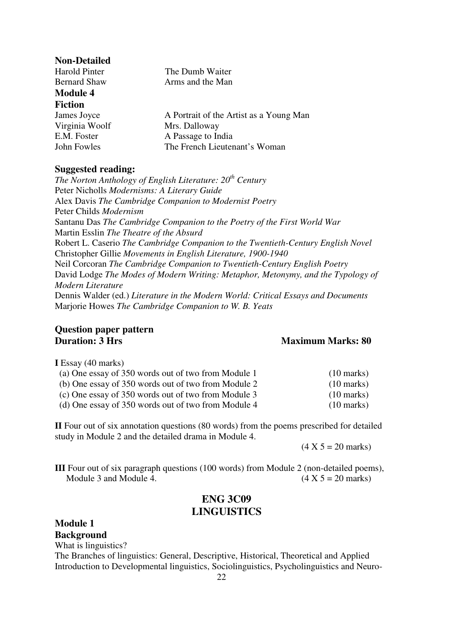| <b>Non-Detailed</b> |                                         |
|---------------------|-----------------------------------------|
| Harold Pinter       | The Dumb Waiter                         |
| <b>Bernard Shaw</b> | Arms and the Man                        |
| <b>Module 4</b>     |                                         |
| <b>Fiction</b>      |                                         |
| James Joyce         | A Portrait of the Artist as a Young Man |
| Virginia Woolf      | Mrs. Dalloway                           |
| E.M. Foster         | A Passage to India                      |
| John Fowles         | The French Lieutenant's Woman           |

#### **Suggested reading:**

*The Norton Anthology of English Literature: 20th Century* Peter Nicholls *Modernisms: A Literary Guide* Alex Davis *The Cambridge Companion to Modernist Poetry* Peter Childs *Modernism* Santanu Das *The Cambridge Companion to the Poetry of the First World War*  Martin Esslin *The Theatre of the Absurd* Robert L. Caserio *The Cambridge Companion to the Twentieth-Century English Novel* Christopher Gillie *Movements in English Literature, 1900-1940*  Neil Corcoran *The Cambridge Companion to Twentieth-Century English Poetry* David Lodge *The Modes of Modern Writing: Metaphor, Metonymy, and the Typology of Modern Literature*  Dennis Walder (ed.) *Literature in the Modern World: Critical Essays and Documents* Marjorie Howes *The Cambridge Companion to W. B. Yeats* 

#### **Question paper pattern Duration: 3 Hrs** Maximum Marks: 80

**I** Essay (40 marks)

**Module 1** 

| (a) One essay of 350 words out of two from Module 1 | $(10 \text{ marks})$ |
|-----------------------------------------------------|----------------------|
| (b) One essay of 350 words out of two from Module 2 | $(10 \text{ marks})$ |
| (c) One essay of 350 words out of two from Module 3 | $(10 \text{ marks})$ |
| (d) One essay of 350 words out of two from Module 4 | $(10 \text{ marks})$ |

**II** Four out of six annotation questions (80 words) from the poems prescribed for detailed study in Module 2 and the detailed drama in Module 4.

 $(4 \text{ X } 5 = 20 \text{ marks})$ 

**III** Four out of six paragraph questions (100 words) from Module 2 (non-detailed poems), Module 3 and Module 4.  $(4 \times 5 = 20 \text{ marks})$ 

#### **ENG 3C09 LINGUISTICS**

**Background** What is linguistics? The Branches of linguistics: General, Descriptive, Historical, Theoretical and Applied Introduction to Developmental linguistics, Sociolinguistics, Psycholinguistics and Neuro- 22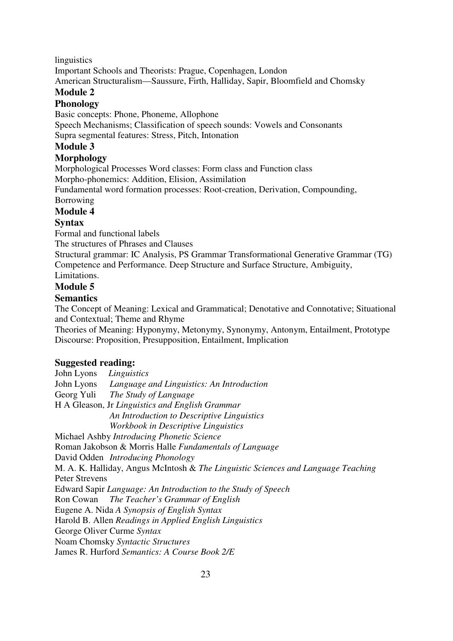linguistics

Important Schools and Theorists: Prague, Copenhagen, London

American Structuralism—Saussure, Firth, Halliday, Sapir, Bloomfield and Chomsky

#### **Module 2**

#### **Phonology**

Basic concepts: Phone, Phoneme, Allophone

Speech Mechanisms; Classification of speech sounds: Vowels and Consonants Supra segmental features: Stress, Pitch, Intonation

#### **Module 3**

#### **Morphology**

Morphological Processes Word classes: Form class and Function class Morpho-phonemics: Addition, Elision, Assimilation

Fundamental word formation processes: Root-creation, Derivation, Compounding,

#### Borrowing

#### **Module 4**

#### **Syntax**

Formal and functional labels

The structures of Phrases and Clauses

Structural grammar: IC Analysis, PS Grammar Transformational Generative Grammar (TG) Competence and Performance. Deep Structure and Surface Structure, Ambiguity,

#### Limitations.

#### **Module 5**

#### **Semantics**

The Concept of Meaning: Lexical and Grammatical; Denotative and Connotative; Situational and Contextual; Theme and Rhyme

Theories of Meaning: Hyponymy, Metonymy, Synonymy, Antonym, Entailment, Prototype Discourse: Proposition, Presupposition, Entailment, Implication

#### **Suggested reading:**

John Lyons *Linguistics*  John Lyons *Language and Linguistics: An Introduction* Georg Yuli *The Study of Language* H A Gleason, Jr *Linguistics and English Grammar An Introduction to Descriptive Linguistics Workbook in Descriptive Linguistics* Michael Ashby *Introducing Phonetic Science* Roman Jakobson & Morris Halle *Fundamentals of Language*  David Odden *Introducing Phonology*  M. A. K. Halliday, Angus McIntosh & *The Linguistic Sciences and Language Teaching* Peter Strevens Edward Sapir *Language: An Introduction to the Study of Speech*  Ron Cowan *The Teacher's Grammar of English* Eugene A. Nida *A Synopsis of English Syntax* Harold B. Allen *Readings in Applied English Linguistics*  George Oliver Curme *Syntax* Noam Chomsky *Syntactic Structures* James R. Hurford *Semantics: A Course Book 2/E*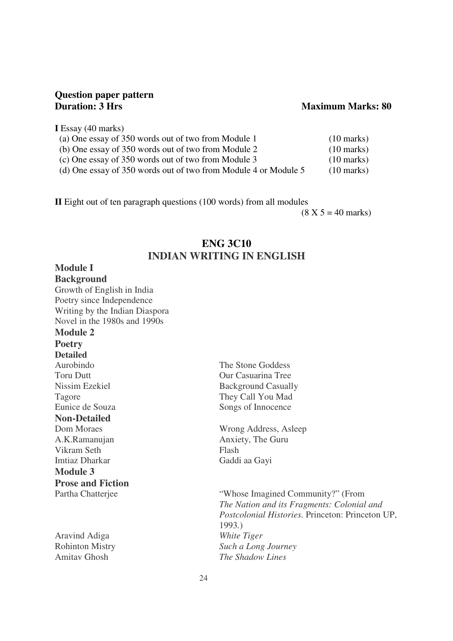# **Question paper pattern**

#### **Maximum Marks: 80**

**I** Essay (40 marks)

| (a) One essay of 350 words out of two from Module 1             | $(10 \text{ marks})$ |
|-----------------------------------------------------------------|----------------------|
| (b) One essay of 350 words out of two from Module 2             | $(10 \text{ marks})$ |
| (c) One essay of 350 words out of two from Module 3             | $(10 \text{ marks})$ |
| (d) One essay of 350 words out of two from Module 4 or Module 5 | $(10 \text{ marks})$ |

**II** Eight out of ten paragraph questions (100 words) from all modules

 $(8 \text{ X } 5 = 40 \text{ marks})$ 

#### **ENG 3C10 INDIAN WRITING IN ENGLISH**

#### **Module I**

**Background**  Growth of English in India Poetry since Independence Writing by the Indian Diaspora Novel in the 1980s and 1990s

#### **Module 2**

**Poetry Detailed Non-Detailed**  Vikram Seth Flash Imtiaz Dharkar Gaddi aa Gayi **Module 3 Prose and Fiction** 

Aravind Adiga *White Tiger*

Aurobindo The Stone Goddess Toru Dutt **Our Casuarina Tree** Nissim Ezekiel Background Casually Tagore They Call You Mad Eunice de Souza Songs of Innocence

Dom Moraes Wrong Address, Asleep A.K.Ramanujan Anxiety, The Guru

Partha Chatterjee "Whose Imagined Community?" (From *The Nation and its Fragments: Colonial and Postcolonial Histories.* Princeton: Princeton UP, 1993*.*) Rohinton Mistry *Such a Long Journey*  Amitav Ghosh *The Shadow Lines*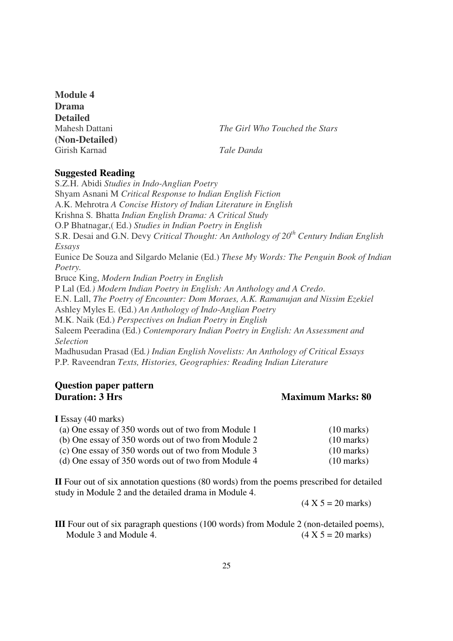**Module 4 Drama Detailed (Non-Detailed)** Girish Karnad *Tale Danda* 

Mahesh Dattani *The Girl Who Touched the Stars* 

#### **Suggested Reading**

S.Z.H. Abidi *Studies in Indo-Anglian Poetry* Shyam Asnani M *Critical Response to Indian English Fiction* A.K. Mehrotra *A Concise History of Indian Literature in English* Krishna S*.* Bhatta *Indian English Drama: A Critical Study* O.P Bhatnagar,( Ed.) *Studies in Indian Poetry in English* S.R. Desai and G.N. Devy *Critical Thought: An Anthology of 20th Century Indian English Essays*  Eunice De Souza and Silgardo Melanie (Ed.) *These My Words: The Penguin Book of Indian Poetry.*  Bruce King, *Modern Indian Poetry in English* P Lal (Ed*.) Modern Indian Poetry in English: An Anthology and A Credo*. E.N. Lall, *The Poetry of Encounter: Dom Moraes, A.K. Ramanujan and Nissim Ezekiel*  Ashley Myles E. (Ed.) *An Anthology of Indo-Anglian Poetry* M.K. Naik (Ed.) *Perspectives on Indian Poetry in English* Saleem Peeradina (Ed.) *Contemporary Indian Poetry in English: An Assessment and Selection*  Madhusudan Prasad (Ed*.) Indian English Novelists: An Anthology of Critical Essays* P.P*.* Raveendran *Texts, Histories, Geographies: Reading Indian Literature*

#### **Question paper pattern Duration: 3 Hrs** Maximum Marks: 80

**I** Essay (40 marks)

| (a) One essay of 350 words out of two from Module 1 | $(10 \text{ marks})$ |
|-----------------------------------------------------|----------------------|
| (b) One essay of 350 words out of two from Module 2 | $(10 \text{ marks})$ |
| (c) One essay of 350 words out of two from Module 3 | $(10 \text{ marks})$ |
| (d) One essay of 350 words out of two from Module 4 | $(10 \text{ marks})$ |

**II** Four out of six annotation questions (80 words) from the poems prescribed for detailed study in Module 2 and the detailed drama in Module 4.

 $(4 \text{ X } 5 = 20 \text{ marks})$ 

**III** Four out of six paragraph questions (100 words) from Module 2 (non-detailed poems), Module 3 and Module 4.  $(4 \times 5 = 20 \text{ marks})$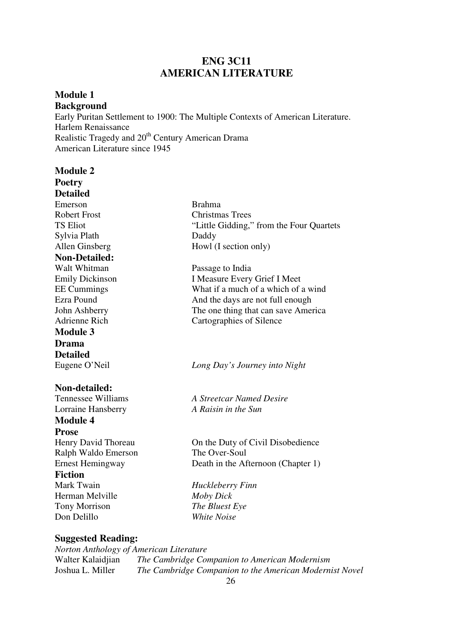#### **ENG 3C11 AMERICAN LITERATURE**

#### **Module 1 Background**  Early Puritan Settlement to 1900: The Multiple Contexts of American Literature. Harlem Renaissance Realistic Tragedy and 20<sup>th</sup> Century American Drama American Literature since 1945

| <b>Module 2</b>           |                                          |
|---------------------------|------------------------------------------|
| <b>Poetry</b>             |                                          |
| <b>Detailed</b>           |                                          |
| Emerson                   | <b>Brahma</b>                            |
| <b>Robert Frost</b>       | <b>Christmas Trees</b>                   |
| <b>TS Eliot</b>           | "Little Gidding," from the Four Quartets |
| Sylvia Plath              | Daddy                                    |
| Allen Ginsberg            | Howl (I section only)                    |
| <b>Non-Detailed:</b>      |                                          |
| Walt Whitman              | Passage to India                         |
| <b>Emily Dickinson</b>    | I Measure Every Grief I Meet             |
| <b>EE</b> Cummings        | What if a much of a which of a wind      |
| Ezra Pound                | And the days are not full enough         |
| John Ashberry             | The one thing that can save America      |
| <b>Adrienne Rich</b>      | Cartographies of Silence                 |
| <b>Module 3</b>           |                                          |
| <b>Drama</b>              |                                          |
| <b>Detailed</b>           |                                          |
| Eugene O'Neil             | Long Day's Journey into Night            |
|                           |                                          |
| Non-detailed:             |                                          |
| <b>Tennessee Williams</b> | <b>A Streetcar Named Desire</b>          |
| Lorraine Hansberry        | A Raisin in the Sun                      |
| <b>Module 4</b>           |                                          |
| <b>Prose</b>              |                                          |
| Henry David Thoreau       | On the Duty of Civil Disobedience        |
| Ralph Waldo Emerson       | The Over-Soul                            |
| <b>Ernest Hemingway</b>   | Death in the Afternoon (Chapter 1)       |
| <b>Fiction</b>            |                                          |
| Mark Twain                | Huckleberry Finn                         |
| Herman Melville           | <b>Moby Dick</b>                         |
| <b>Tony Morrison</b>      | The Bluest Eye                           |
| Don Delillo               | <b>White Noise</b>                       |
|                           |                                          |
| <b>Suggested Reading:</b> |                                          |

*Norton Anthology of American Literature*  Walter Kalaidjian *The Cambridge Companion to American Modernism*<br>Joshua L. Miller *The Cambridge Companion to the American Moderni* The Cambridge Companion to the American Modernist Novel 26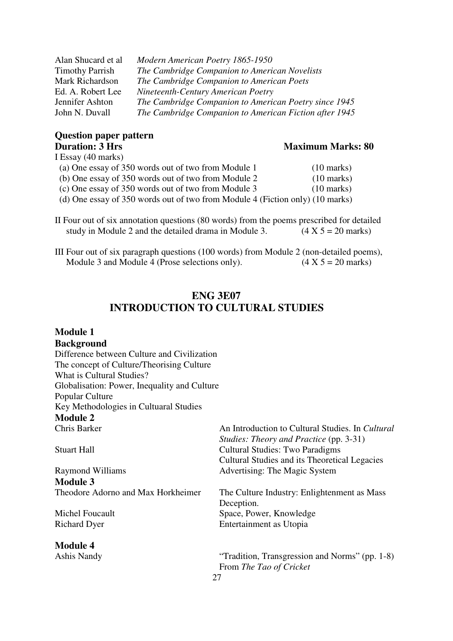| Alan Shucard et al     | Modern American Poetry 1865-1950                       |
|------------------------|--------------------------------------------------------|
| <b>Timothy Parrish</b> | The Cambridge Companion to American Novelists          |
| Mark Richardson        | The Cambridge Companion to American Poets              |
| Ed. A. Robert Lee      | Nineteenth-Century American Poetry                     |
| Jennifer Ashton        | The Cambridge Companion to American Poetry since 1945  |
| John N. Duvall         | The Cambridge Companion to American Fiction after 1945 |
|                        |                                                        |

#### **Question paper pattern Duration: 3 Hrs** Maximum Marks: 80  $I$  Fessay (40 marks)

| і сльду (40 шаікл)                                                            |                      |
|-------------------------------------------------------------------------------|----------------------|
| (a) One essay of 350 words out of two from Module 1                           | $(10 \text{ marks})$ |
| (b) One essay of 350 words out of two from Module 2                           | $(10 \text{ marks})$ |
| (c) One essay of 350 words out of two from Module 3                           | $(10 \text{ marks})$ |
| (d) One essay of 350 words out of two from Module 4 (Fiction only) (10 marks) |                      |

II Four out of six annotation questions (80 words) from the poems prescribed for detailed study in Module 2 and the detailed drama in Module 3.  $(4 \times 5 = 20 \text{ marks})$ 

III Four out of six paragraph questions (100 words) from Module 2 (non-detailed poems), Module 3 and Module 4 (Prose selections only).  $(4 \times 5 = 20 \text{ marks})$ 

#### **ENG 3E07 INTRODUCTION TO CULTURAL STUDIES**

| <b>Module 1</b>                              |                                                  |
|----------------------------------------------|--------------------------------------------------|
| <b>Background</b>                            |                                                  |
| Difference between Culture and Civilization  |                                                  |
| The concept of Culture/Theorising Culture    |                                                  |
| What is Cultural Studies?                    |                                                  |
| Globalisation: Power, Inequality and Culture |                                                  |
| Popular Culture                              |                                                  |
| Key Methodologies in Cultuaral Studies       |                                                  |
| <b>Module 2</b>                              |                                                  |
| Chris Barker                                 | An Introduction to Cultural Studies. In Cultural |
|                                              | Studies: Theory and Practice (pp. 3-31)          |
| <b>Stuart Hall</b>                           | <b>Cultural Studies: Two Paradigms</b>           |
|                                              | Cultural Studies and its Theoretical Legacies    |
| <b>Raymond Williams</b>                      | Advertising: The Magic System                    |
| <b>Module 3</b>                              |                                                  |
| Theodore Adorno and Max Horkheimer           | The Culture Industry: Enlightenment as Mass      |
|                                              | Deception.                                       |
| Michel Foucault                              | Space, Power, Knowledge                          |
| <b>Richard Dyer</b>                          | Entertainment as Utopia                          |
| <b>Module 4</b>                              |                                                  |
| Ashis Nandy                                  | "Tradition, Transgression and Norms" (pp. 1-8)   |
|                                              | From The Tao of Cricket                          |
| 27                                           |                                                  |
|                                              |                                                  |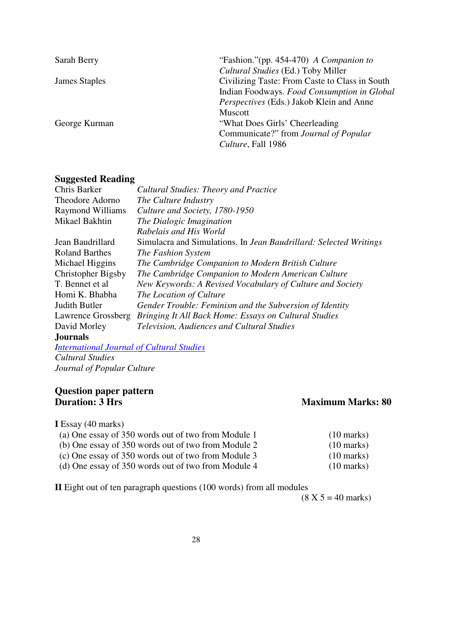| Sarah Berry   | "Fashion." (pp. 454-470) A Companion to        |
|---------------|------------------------------------------------|
|               | Cultural Studies (Ed.) Toby Miller             |
| James Staples | Civilizing Taste: From Caste to Class in South |
|               | Indian Foodways. Food Consumption in Global    |
|               | Perspectives (Eds.) Jakob Klein and Anne       |
|               | <b>Muscott</b>                                 |
| George Kurman | "What Does Girls' Cheerleading                 |
|               | Communicate?" from Journal of Popular          |
|               | Culture, Fall 1986                             |

#### **Suggested Reading**

| Chris Barker                              | <b>Cultural Studies: Theory and Practice</b>                      |
|-------------------------------------------|-------------------------------------------------------------------|
| Theodore Adorno                           | The Culture Industry                                              |
| Raymond Williams                          | Culture and Society, 1780-1950                                    |
| Mikael Bakhtin                            | The Dialogic Imagination                                          |
|                                           | Rabelais and His World                                            |
| Jean Baudrillard                          | Simulacra and Simulations. In Jean Baudrillard: Selected Writings |
| <b>Roland Barthes</b>                     | The Fashion System                                                |
| Michael Higgins                           | The Cambridge Companion to Modern British Culture                 |
| Christopher Bigsby                        | The Cambridge Companion to Modern American Culture                |
| T. Bennet et al                           | New Keywords: A Revised Vocabulary of Culture and Society         |
| Homi K. Bhabha                            | The Location of Culture                                           |
| Judith Butler                             | Gender Trouble: Feminism and the Subversion of Identity           |
| Lawrence Grossberg                        | Bringing It All Back Home: Essays on Cultural Studies             |
| David Morley                              | <b>Television, Audiences and Cultural Studies</b>                 |
| <b>Journals</b>                           |                                                                   |
| International Journal of Cultural Studies |                                                                   |

*International Journal of Cultural Studies Cultural Studies Journal of Popular Culture*

# **Question paper pattern**

#### **Maximum Marks: 80**

**I** Essay (40 marks)

| (a) One essay of 350 words out of two from Module 1 | $(10 \text{ marks})$ |
|-----------------------------------------------------|----------------------|
| (b) One essay of 350 words out of two from Module 2 | $(10 \text{ marks})$ |
| (c) One essay of 350 words out of two from Module 3 | $(10 \text{ marks})$ |
| (d) One essay of 350 words out of two from Module 4 | $(10 \text{ marks})$ |

**II** Eight out of ten paragraph questions (100 words) from all modules

 $(8 \text{ X } 5 = 40 \text{ marks})$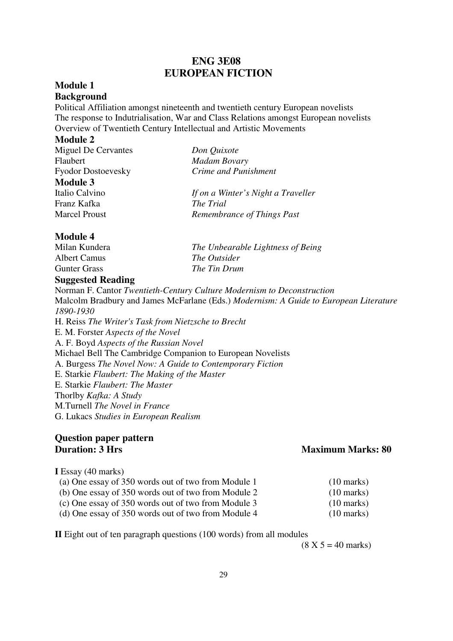#### **ENG 3E08 EUROPEAN FICTION**

#### **Module 1**

#### **Background**

Political Affiliation amongst nineteenth and twentieth century European novelists The response to Indutrialisation, War and Class Relations amongst European novelists Overview of Twentieth Century Intellectual and Artistic Movements

#### **Module 2**

| Miguel De Cervantes       | Don Quixote                        |
|---------------------------|------------------------------------|
| Flaubert                  | <b>Madam Bovary</b>                |
| <b>Fyodor Dostoevesky</b> | Crime and Punishment               |
| <b>Module 3</b>           |                                    |
| Italio Calvino            | If on a Winter's Night a Traveller |
| Franz Kafka               | The Trial                          |
| <b>Marcel Proust</b>      | Remembrance of Things Past         |
|                           |                                    |

#### **Module 4**

| Milan Kundera                         | The Unbearable Lightness of Being |
|---------------------------------------|-----------------------------------|
| Albert Camus                          | <i>The Outsider</i>               |
| Gunter Grass                          | The Tin Drum                      |
| $\sim$<br>$\sim$ $\sim$ $\sim$ $\sim$ |                                   |

#### **Suggested Reading**

Norman F. Cantor *Twentieth-Century Culture Modernism to Deconstruction* Malcolm Bradbury and James McFarlane (Eds.) *Modernism: A Guide to European Literature 1890-1930* H. Reiss *The Writer's Task from Nietzsche to Brecht* E. M. Forster *Aspects of the Novel* A. F. Boyd *Aspects of the Russian Novel* Michael Bell The Cambridge Companion to European Novelists A. Burgess *The Novel Now: A Guide to Contemporary Fiction* E. Starkie *Flaubert: The Making of the Master* E. Starkie *Flaubert: The Master* Thorlby *Kafka: A Study* M.Turnell *The Novel in France* G. Lukacs *Studies in European Realism*

# **Question paper pattern**

#### **Maximum Marks: 80**

#### **I** Essay (40 marks)

| (a) One essay of 350 words out of two from Module 1   | $(10 \text{ marks})$ |
|-------------------------------------------------------|----------------------|
| (b) One essay of 350 words out of two from Module 2   | $(10 \text{ marks})$ |
| (c) One essay of 350 words out of two from Module 3   | $(10 \text{ marks})$ |
| (d) One assay of $350$ words out of two from Modula 4 | $(10 \text{ morlz})$ |

(d) One essay of 350 words out of two from Module 4  $(10 \text{ marks})$ 

**II** Eight out of ten paragraph questions (100 words) from all modules

 $(8 X 5 = 40 \text{ marks})$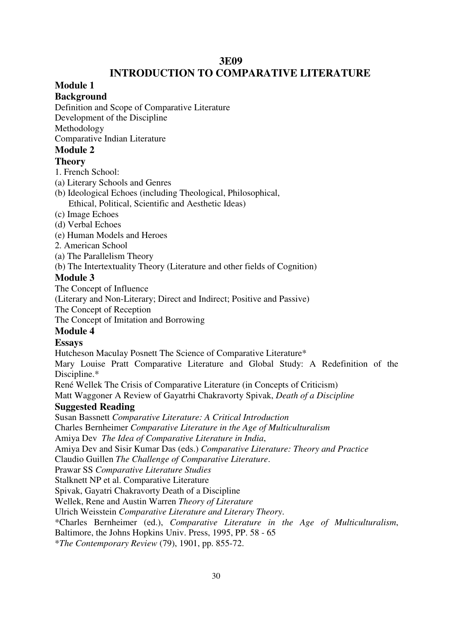#### **3E09**

#### **INTRODUCTION TO COMPARATIVE LITERATURE**

#### **Module 1**

#### **Background**

Definition and Scope of Comparative Literature

Development of the Discipline

Methodology

Comparative Indian Literature

#### **Module 2**

#### **Theory**

1. French School:

- (a) Literary Schools and Genres
- (b) Ideological Echoes (including Theological, Philosophical, Ethical, Political, Scientific and Aesthetic Ideas)
- (c) Image Echoes
- (d) Verbal Echoes
- (e) Human Models and Heroes
- 2. American School
- (a) The Parallelism Theory
- (b) The Intertextuality Theory (Literature and other fields of Cognition)

#### **Module 3**

The Concept of Influence

(Literary and Non-Literary; Direct and Indirect; Positive and Passive)

The Concept of Reception

The Concept of Imitation and Borrowing

#### **Module 4**

#### **Essays**

Hutcheson Maculay Posnett The Science of Comparative Literature\*

Mary Louise Pratt Comparative Literature and Global Study: A Redefinition of the Discipline.\*

René Wellek The Crisis of Comparative Literature (in Concepts of Criticism)

Matt Waggoner A Review of Gayatrhi Chakravorty Spivak, *Death of a Discipline* 

#### **Suggested Reading**

Susan Bassnett *Comparative Literature: A Critical Introduction* 

Charles Bernheimer *Comparative Literature in the Age of Multiculturalism*

Amiya Dev *The Idea of Comparative Literature in India*,

Amiya Dev and Sisir Kumar Das (eds.) *Comparative Literature: Theory and Practice*

Claudio Guillen *The Challenge of Comparative Literature*.

Prawar SS *Comparative Literature Studies*

Stalknett NP et al. Comparative Literature

Spivak, Gayatri Chakravorty Death of a Discipline

Wellek, Rene and Austin Warren *Theory of Literature*

Ulrich Weisstein *Comparative Literature and Literary Theory*.

\*Charles Bernheimer (ed.), *Comparative Literature in the Age of Multiculturalism*,

Baltimore, the Johns Hopkins Univ. Press, 1995, PP. 58 - 65

\**The Contemporary Review* (79), 1901, pp. 855-72.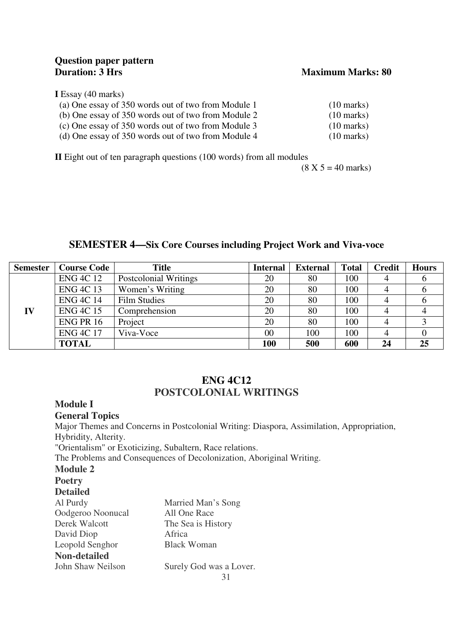# **Question paper pattern**

#### **Maximum Marks: 80**

#### **I** Essay (40 marks)

| (a) One essay of 350 words out of two from Module 1 | $(10 \text{ marks})$ |
|-----------------------------------------------------|----------------------|
| (b) One essay of 350 words out of two from Module 2 | $(10 \text{ marks})$ |
| (c) One essay of 350 words out of two from Module 3 | $(10 \text{ marks})$ |
| (d) One essay of 350 words out of two from Module 4 | $(10 \text{ marks})$ |

**II** Eight out of ten paragraph questions (100 words) from all modules

 $(8 \text{ X } 5 = 40 \text{ marks})$ 

#### **SEMESTER 4—Six Core Courses including Project Work and Viva-voce**

| <b>Semester</b> | <b>Course Code</b> | <b>Title</b>          | <b>Internal</b> | <b>External</b> | <b>Total</b> | <b>Credit</b> | <b>Hours</b> |
|-----------------|--------------------|-----------------------|-----------------|-----------------|--------------|---------------|--------------|
|                 | <b>ENG 4C 12</b>   | Postcolonial Writings | 20              | 80              | 100          |               | O            |
|                 | <b>ENG 4C 13</b>   | Women's Writing       | 20              | 80              | 100          |               | O            |
|                 | <b>ENG 4C 14</b>   | <b>Film Studies</b>   | 20              | 80              | 100          |               |              |
| IV              | <b>ENG 4C 15</b>   | Comprehension         | 20              | 80              | 100          |               |              |
|                 | <b>ENG PR 16</b>   | Project               | 20              | 80              | 100          | 4             |              |
|                 | <b>ENG 4C 17</b>   | Viva-Voce             | 00              | 100             | 100          |               |              |
|                 | <b>TOTAL</b>       |                       | 100             | 500             | 600          | 24            | 25           |

#### **ENG 4C12 POSTCOLONIAL WRITINGS**

#### **Module I**

#### **General Topics**

Major Themes and Concerns in Postcolonial Writing: Diaspora, Assimilation, Appropriation, Hybridity, Alterity.

"Orientalism" or Exoticizing, Subaltern, Race relations.

The Problems and Consequences of Decolonization, Aboriginal Writing.

#### **Module 2**

#### **Poetry**

#### **Detailed**

| Al Purdy            | Married Man's Song      |
|---------------------|-------------------------|
| Oodgeroo Noonucal   | All One Race            |
| Derek Walcott       | The Sea is History      |
| David Diop          | Africa                  |
| Leopold Senghor     | <b>Black Woman</b>      |
| <b>Non-detailed</b> |                         |
| John Shaw Neilson   | Surely God was a Lover. |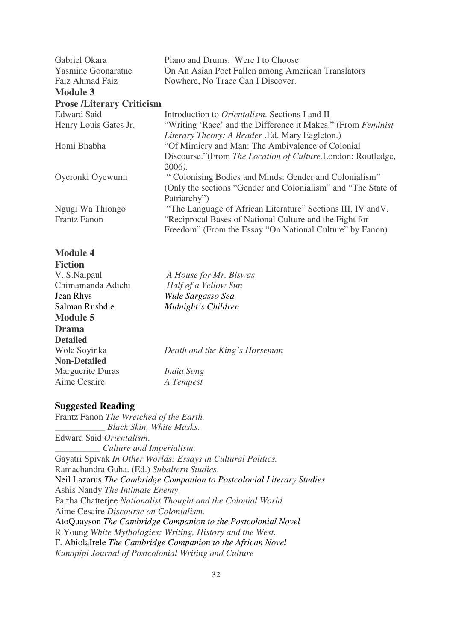| Gabriel Okara                    | Piano and Drums, Were I to Choose.                            |
|----------------------------------|---------------------------------------------------------------|
| <b>Yasmine Goonaratne</b>        | On An Asian Poet Fallen among American Translators            |
| Faiz Ahmad Faiz                  | Nowhere, No Trace Can I Discover.                             |
| <b>Module 3</b>                  |                                                               |
| <b>Prose /Literary Criticism</b> |                                                               |
| <b>Edward Said</b>               | Introduction to <i>Orientalism</i> . Sections I and II        |
| Henry Louis Gates Jr.            | "Writing 'Race' and the Difference it Makes." (From Feminist) |
|                                  | Literary Theory: A Reader .Ed. Mary Eagleton.)                |
| Homi Bhabha                      | "Of Mimicry and Man: The Ambivalence of Colonial              |
|                                  | Discourse." (From The Location of Culture. London: Routledge, |
|                                  | $2006$ ).                                                     |
| Oyeronki Oyewumi                 | "Colonising Bodies and Minds: Gender and Colonialism"         |
|                                  | (Only the sections "Gender and Colonialism" and "The State of |
|                                  | Patriarchy")                                                  |
| Ngugi Wa Thiongo                 | "The Language of African Literature" Sections III, IV and V.  |
| <b>Frantz Fanon</b>              | "Reciprocal Bases of National Culture and the Fight for       |
|                                  | Freedom" (From the Essay "On National Culture" by Fanon)      |
|                                  |                                                               |

#### **Module 4**

| A House for Mr. Biswas        |
|-------------------------------|
| Half of a Yellow Sun          |
| Wide Sargasso Sea             |
| Midnight's Children           |
|                               |
|                               |
|                               |
| Death and the King's Horseman |
|                               |
| India Song                    |
| A Tempest                     |
|                               |

#### **Suggested Reading**

Frantz Fanon *The Wretched of the Earth. \_\_\_\_\_\_\_\_\_\_\_ Black Skin, White Masks.* Edward Said *Orientalism*. \_\_\_\_\_\_\_\_\_\_ *Culture and Imperialism*. Gayatri Spivak *In Other Worlds: Essays in Cultural Politics.*  Ramachandra Guha. (Ed.) *Subaltern Studies*. Neil Lazarus *The Cambridge Companion to Postcolonial Literary Studies*  Ashis Nandy *The Intimate Enemy*. Partha Chatterjee *Nationalist Thought and the Colonial World.*  Aime Cesaire *Discourse on Colonialism.*  AtoQuayson *The Cambridge Companion to the Postcolonial Novel*  R.Young *White Mythologies: Writing, History and the West.*  F. AbiolaIrele *The Cambridge Companion to the African Novel Kunapipi Journal of Postcolonial Writing and Culture*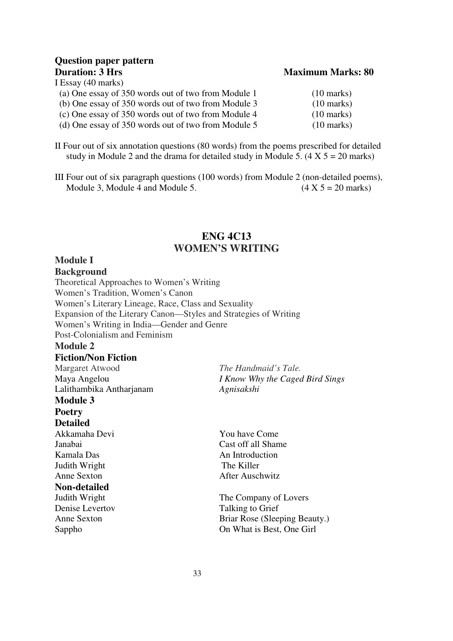# **Question paper pattern**

I Essay (40 marks)

| (a) One essay of 350 words out of two from Module 1 | $(10 \text{ marks})$ |
|-----------------------------------------------------|----------------------|
| (b) One essay of 350 words out of two from Module 3 | $(10 \text{ marks})$ |
| (c) One essay of 350 words out of two from Module 4 | $(10 \text{ marks})$ |
| (d) One essay of 350 words out of two from Module 5 | $(10 \text{ marks})$ |

**Maximum Marks: 80** 

II Four out of six annotation questions (80 words) from the poems prescribed for detailed study in Module 2 and the drama for detailed study in Module 5.  $(4 \times 5 = 20 \text{ marks})$ 

III Four out of six paragraph questions (100 words) from Module 2 (non-detailed poems), Module 3, Module 4 and Module 5.  $(4 \times 5 = 20 \text{ marks})$ 

#### **ENG 4C13 WOMEN'S WRITING**

#### **Module I**

#### **Background**

Theoretical Approaches to Women's Writing Women's Tradition, Women's Canon Women's Literary Lineage, Race, Class and Sexuality Expansion of the Literary Canon—Styles and Strategies of Writing Women's Writing in India—Gender and Genre Post-Colonialism and Feminism **Module 2 Fiction/Non Fiction**

Margaret Atwood *The Handmaid's Tale.*  Lalithambika Antharjanam *Agnisakshi* **Module 3 Poetry**

#### **Detailed**

Akkamaha Devi You have Come Kamala Das An Introduction Judith Wright The Killer Anne Sexton After Auschwitz **Non-detailed**  Denise Levertov Talking to Grief

Maya Angelou *I Know Why the Caged Bird Sings* 

Janabai Cast off all Shame

The Company of Lovers Anne Sexton Briar Rose (Sleeping Beauty.) Sappho On What is Best, One Girl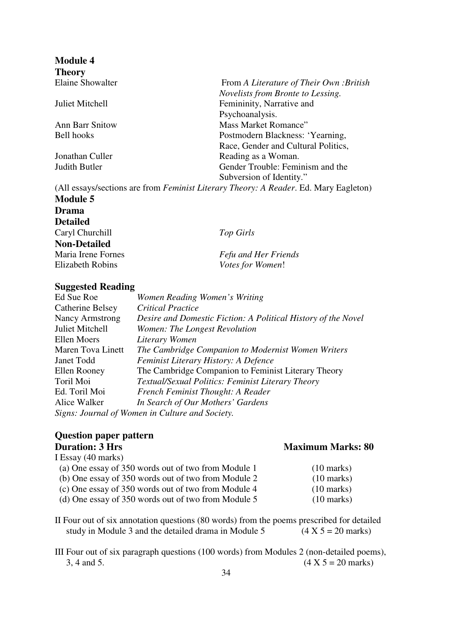**Module 4 Theory** 

From *A Literature of Their Own :British Novelists from Bronte to Lessing.*  Juliet Mitchell Femininity, Narrative and Psychoanalysis. Ann Barr Snitow Mass Market Romance" Bell hooks Postmodern Blackness: 'Yearning, Race, Gender and Cultural Politics, Jonathan Culler Reading as a Woman. Judith Butler Gender Trouble: Feminism and the Subversion of Identity."

(All essays/sections are from *Feminist Literary Theory: A Reader*. Ed. Mary Eagleton) **Module 5** 

**Drama Detailed**  Caryl Churchill *Top Girls* **Non-Detailed** 

Maria Irene Fornes *Fefu and Her Friends*  $Votes for Women!$ 

#### **Suggested Reading**

| Ed Sue Roe              | Women Reading Women's Writing                                 |
|-------------------------|---------------------------------------------------------------|
| <b>Catherine Belsey</b> | <b>Critical Practice</b>                                      |
| <b>Nancy Armstrong</b>  | Desire and Domestic Fiction: A Political History of the Novel |
| Juliet Mitchell         | Women: The Longest Revolution                                 |
| Ellen Moers             | Literary Women                                                |
| Maren Tova Linett       | The Cambridge Companion to Modernist Women Writers            |
| Janet Todd              | Feminist Literary History: A Defence                          |
| Ellen Rooney            | The Cambridge Companion to Feminist Literary Theory           |
| Toril Moi               | Textual/Sexual Politics: Feminist Literary Theory             |
| Ed. Toril Moi           | French Feminist Thought: A Reader                             |
| Alice Walker            | In Search of Our Mothers' Gardens                             |
|                         | Signs: Journal of Women in Culture and Society.               |

# **Question paper pattern**

| <b>Duration: 3 Hrs</b>                              | <b>Maximum Marks: 80</b> |
|-----------------------------------------------------|--------------------------|
| I Essay (40 marks)                                  |                          |
| (a) One essay of 350 words out of two from Module 1 | $(10 \text{ marks})$     |
| (b) One essay of 350 words out of two from Module 2 | $(10 \text{ marks})$     |
| (c) One essay of 350 words out of two from Module 4 | $(10 \text{ marks})$     |
| (d) One essay of 350 words out of two from Module 5 | $(10 \text{ marks})$     |
|                                                     |                          |

II Four out of six annotation questions (80 words) from the poems prescribed for detailed study in Module 3 and the detailed drama in Module 5  $(4 X 5 = 20$  marks)

III Four out of six paragraph questions (100 words) from Modules 2 (non-detailed poems), 3, 4 and 5. (4 X 5 = 20 marks)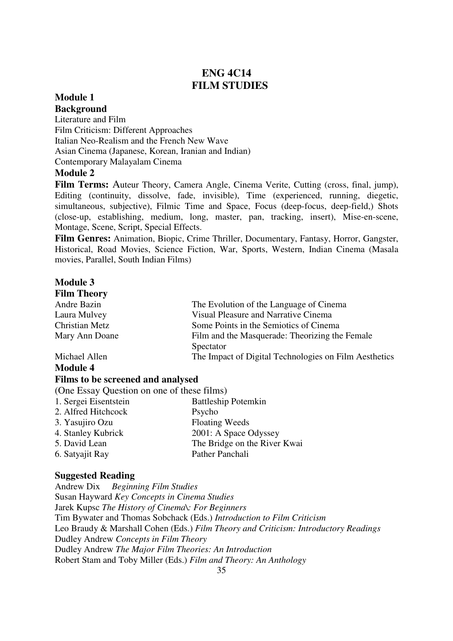#### **ENG 4C14 FILM STUDIES**

#### **Module 1 Background**

Literature and Film Film Criticism: Different Approaches Italian Neo-Realism and the French New Wave Asian Cinema (Japanese, Korean, Iranian and Indian) Contemporary Malayalam Cinema

#### **Module 2**

**Film Terms:** Auteur Theory, Camera Angle, Cinema Verite, Cutting (cross, final, jump), Editing (continuity, dissolve, fade, invisible), Time (experienced, running, diegetic, simultaneous, subjective), Filmic Time and Space, Focus (deep-focus, deep-field,) Shots (close-up, establishing, medium, long, master, pan, tracking, insert), Mise-en-scene, Montage, Scene, Script, Special Effects.

**Film Genres:** Animation, Biopic, Crime Thriller, Documentary, Fantasy, Horror, Gangster, Historical, Road Movies, Science Fiction, War, Sports, Western, Indian Cinema (Masala movies, Parallel, South Indian Films)

#### **Module 3 Film Theory**

| гиш тиеогу      |                                                       |
|-----------------|-------------------------------------------------------|
| Andre Bazin     | The Evolution of the Language of Cinema               |
| Laura Mulvey    | Visual Pleasure and Narrative Cinema                  |
| Christian Metz  | Some Points in the Semiotics of Cinema                |
| Mary Ann Doane  | Film and the Masquerade: Theorizing the Female        |
|                 | Spectator                                             |
| Michael Allen   | The Impact of Digital Technologies on Film Aesthetics |
| <b>Module 4</b> |                                                       |

#### **Films to be screened and analysed**

(One Essay Question on one of these films)

1. Sergei Eisentstein Battleship Potemkin 2. Alfred Hitchcock Psycho 3. Yasujiro Ozu Floating Weeds 4. Stanley Kubrick 2001: A Space Odyssey 5. David Lean The Bridge on the River Kwai 6. Satyajit Ray Pather Panchali

#### **Suggested Reading**

Andrew Dix *Beginning Film Studies*  Susan Hayward *Key Concepts in Cinema Studies*  Jarek Kupsc *The History of Cinema\: For Beginners*  Tim Bywater and Thomas Sobchack (Eds.) *Introduction to Film Criticism* Leo Braudy & Marshall Cohen (Eds.) *Film Theory and Criticism: Introductory Readings* Dudley Andrew *Concepts in Film Theory*  Dudley Andrew *The Major Film Theories: An Introduction* Robert Stam and Toby Miller (Eds.) *Film and Theory: An Anthology*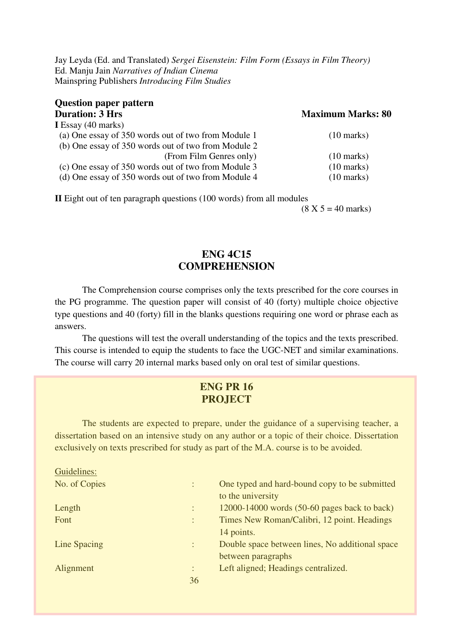Jay Leyda (Ed. and Translated) *Sergei Eisenstein: Film Form (Essays in Film Theory)*  Ed. Manju Jain *Narratives of Indian Cinema* Mainspring Publishers *Introducing Film Studies* 

| <b>Question paper pattern</b>                       |                          |
|-----------------------------------------------------|--------------------------|
| <b>Duration: 3 Hrs</b>                              | <b>Maximum Marks: 80</b> |
| I Essay $(40 \text{ marks})$                        |                          |
| (a) One essay of 350 words out of two from Module 1 | $(10 \text{ marks})$     |
| (b) One essay of 350 words out of two from Module 2 |                          |
| (From Film Genres only)                             | $(10 \text{ marks})$     |
| (c) One essay of 350 words out of two from Module 3 | $(10 \text{ marks})$     |
| (d) One essay of 350 words out of two from Module 4 | $(10 \text{ marks})$     |

**II** Eight out of ten paragraph questions (100 words) from all modules

 $(8 \text{ X } 5 = 40 \text{ marks})$ 

#### **ENG 4C15 COMPREHENSION**

 The Comprehension course comprises only the texts prescribed for the core courses in the PG programme. The question paper will consist of 40 (forty) multiple choice objective type questions and 40 (forty) fill in the blanks questions requiring one word or phrase each as answers.

The questions will test the overall understanding of the topics and the texts prescribed. This course is intended to equip the students to face the UGC-NET and similar examinations. The course will carry 20 internal marks based only on oral test of similar questions.

#### **ENG PR 16 PROJECT**

The students are expected to prepare, under the guidance of a supervising teacher, a dissertation based on an intensive study on any author or a topic of their choice. Dissertation exclusively on texts prescribed for study as part of the M.A. course is to be avoided.

| Guidelines:   |                           |                                                                    |
|---------------|---------------------------|--------------------------------------------------------------------|
| No. of Copies | ÷                         | One typed and hard-bound copy to be submitted<br>to the university |
| Length        | ÷                         | 12000-14000 words (50-60 pages back to back)                       |
| Font          | ÷                         | Times New Roman/Calibri, 12 point. Headings                        |
|               |                           | 14 points.                                                         |
| Line Spacing  | ÷                         | Double space between lines, No additional space                    |
|               |                           | between paragraphs                                                 |
| Alignment     | ٠<br>$\ddot{\phantom{a}}$ | Left aligned; Headings centralized.                                |
|               | 36                        |                                                                    |
|               |                           |                                                                    |